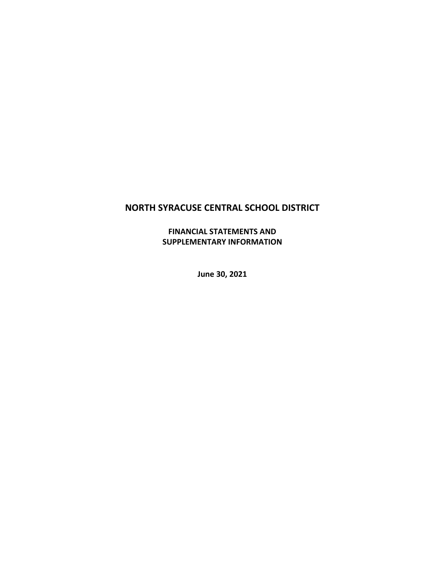**FINANCIAL STATEMENTS AND SUPPLEMENTARY INFORMATION** 

**June 30, 2021**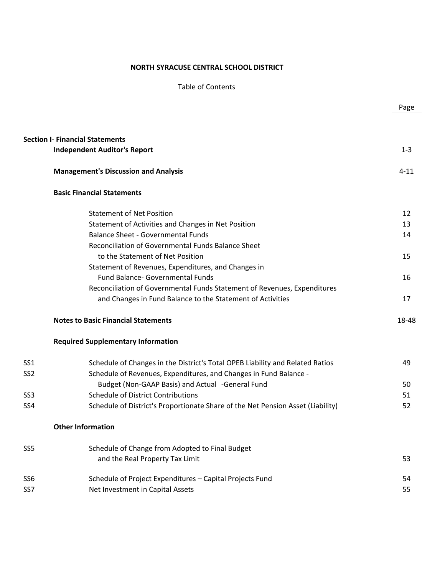#### Table of Contents

en de la provincia de la provincia de la provincia de la provincia de la provincia de la provincia de la provi

| $1 - 3$  |
|----------|
| $4 - 11$ |
|          |
| 12       |
| 13       |
| 14       |
|          |
| 15       |
|          |
| 16       |
|          |
| 17       |
| 18-48    |
|          |
|          |
| 49       |
|          |
| 50       |
| 51       |
| 52       |
|          |
| 53       |
| 54       |
|          |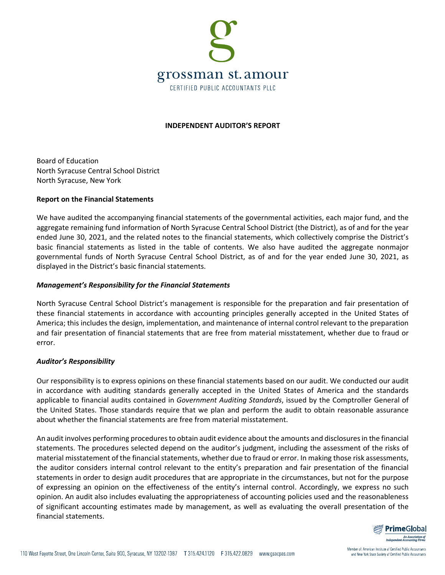

#### **INDEPENDENT AUDITOR'S REPORT**

Board of Education North Syracuse Central School District North Syracuse, New York

#### **Report on the Financial Statements**

We have audited the accompanying financial statements of the governmental activities, each major fund, and the aggregate remaining fund information of North Syracuse Central School District (the District), as of and for the year ended June 30, 2021, and the related notes to the financial statements, which collectively comprise the District's basic financial statements as listed in the table of contents. We also have audited the aggregate nonmajor governmental funds of North Syracuse Central School District, as of and for the year ended June 30, 2021, as displayed in the District's basic financial statements.

#### *Management's Responsibility for the Financial Statements*

North Syracuse Central School District's management is responsible for the preparation and fair presentation of these financial statements in accordance with accounting principles generally accepted in the United States of America; this includes the design, implementation, and maintenance of internal control relevant to the preparation and fair presentation of financial statements that are free from material misstatement, whether due to fraud or error.

#### *Auditor's Responsibility*

Our responsibility is to express opinions on these financial statements based on our audit. We conducted our audit in accordance with auditing standards generally accepted in the United States of America and the standards applicable to financial audits contained in *Government Auditing Standards*, issued by the Comptroller General of the United States. Those standards require that we plan and perform the audit to obtain reasonable assurance about whether the financial statements are free from material misstatement.

An audit involves performing procedures to obtain audit evidence about the amounts and disclosures in the financial statements. The procedures selected depend on the auditor's judgment, including the assessment of the risks of material misstatement of the financial statements, whether due to fraud or error. In making those risk assessments, the auditor considers internal control relevant to the entity's preparation and fair presentation of the financial statements in order to design audit procedures that are appropriate in the circumstances, but not for the purpose of expressing an opinion on the effectiveness of the entity's internal control. Accordingly, we express no such opinion. An audit also includes evaluating the appropriateness of accounting policies used and the reasonableness of significant accounting estimates made by management, as well as evaluating the overall presentation of the financial statements.

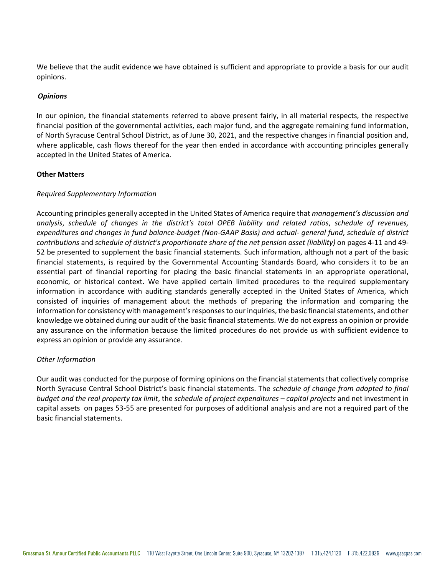We believe that the audit evidence we have obtained is sufficient and appropriate to provide a basis for our audit opinions.

#### *Opinions*

In our opinion, the financial statements referred to above present fairly, in all material respects, the respective financial position of the governmental activities, each major fund, and the aggregate remaining fund information, of North Syracuse Central School District, as of June 30, 2021, and the respective changes in financial position and, where applicable, cash flows thereof for the year then ended in accordance with accounting principles generally accepted in the United States of America.

#### **Other Matters**

#### *Required Supplementary Information*

Accounting principles generally accepted in the United States of America require that *management's discussion and analysis*, *schedule of changes in the district's total OPEB liability and related ratios*, *schedule of revenues, expenditures and changes in fund balance‐budget (Non‐GAAP Basis) and actual‐ general fund*, *schedule of district contributions* and *schedule of district's proportionate share of the net pension asset (liability)* on pages 4‐11 and 49‐ 52 be presented to supplement the basic financial statements. Such information, although not a part of the basic financial statements, is required by the Governmental Accounting Standards Board, who considers it to be an essential part of financial reporting for placing the basic financial statements in an appropriate operational, economic, or historical context. We have applied certain limited procedures to the required supplementary information in accordance with auditing standards generally accepted in the United States of America, which consisted of inquiries of management about the methods of preparing the information and comparing the information for consistency with management's responses to our inquiries, the basic financial statements, and other knowledge we obtained during our audit of the basic financial statements. We do not express an opinion or provide any assurance on the information because the limited procedures do not provide us with sufficient evidence to express an opinion or provide any assurance.

#### *Other Information*

Our audit was conducted for the purpose of forming opinions on the financial statements that collectively comprise North Syracuse Central School District's basic financial statements. The *schedule of change from adopted to final budget and the real property tax limit*, the *schedule of project expenditures – capital projects* and net investment in capital assets on pages 53‐55 are presented for purposes of additional analysis and are not a required part of the basic financial statements.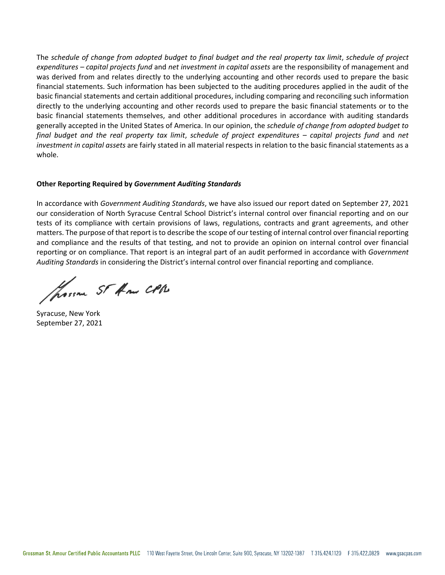The *schedule of change from adopted budget to final budget and the real property tax limit*, *schedule of project expenditures – capital projects fund* and *net investment in capital assets* are the responsibility of management and was derived from and relates directly to the underlying accounting and other records used to prepare the basic financial statements. Such information has been subjected to the auditing procedures applied in the audit of the basic financial statements and certain additional procedures, including comparing and reconciling such information directly to the underlying accounting and other records used to prepare the basic financial statements or to the basic financial statements themselves, and other additional procedures in accordance with auditing standards generally accepted in the United States of America. In our opinion, the *schedule of change from adopted budget to final budget and the real property tax limit*, *schedule of project expenditures – capital projects fund* and *net investment in capital assets* are fairly stated in all material respects in relation to the basic financial statements as a whole.

#### **Other Reporting Required by** *Government Auditing Standards*

In accordance with *Government Auditing Standards*, we have also issued our report dated on September 27, 2021 our consideration of North Syracuse Central School District's internal control over financial reporting and on our tests of its compliance with certain provisions of laws, regulations, contracts and grant agreements, and other matters. The purpose of that report is to describe the scope of our testing of internal control over financial reporting and compliance and the results of that testing, and not to provide an opinion on internal control over financial reporting or on compliance. That report is an integral part of an audit performed in accordance with *Government Auditing Standards* in considering the District's internal control over financial reporting and compliance.

Thosena ST Ann CPR

Syracuse, New York September 27, 2021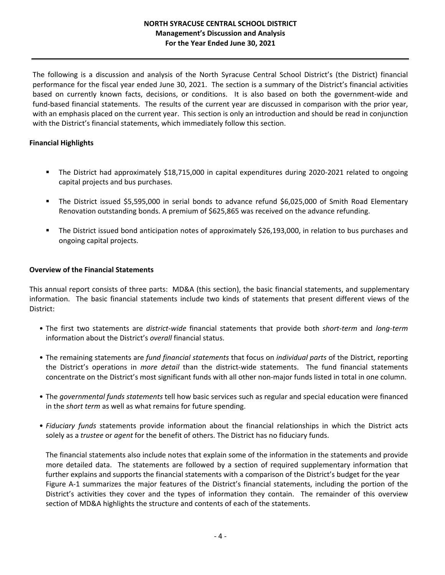The following is a discussion and analysis of the North Syracuse Central School District's (the District) financial performance for the fiscal year ended June 30, 2021. The section is a summary of the District's financial activities based on currently known facts, decisions, or conditions. It is also based on both the government‐wide and fund-based financial statements. The results of the current year are discussed in comparison with the prior year, with an emphasis placed on the current year. This section is only an introduction and should be read in conjunction with the District's financial statements, which immediately follow this section.

#### **Financial Highlights**

- The District had approximately \$18,715,000 in capital expenditures during 2020-2021 related to ongoing capital projects and bus purchases.
- The District issued \$5,595,000 in serial bonds to advance refund \$6,025,000 of Smith Road Elementary Renovation outstanding bonds. A premium of \$625,865 was received on the advance refunding.
- **The District issued bond anticipation notes of approximately \$26,193,000, in relation to bus purchases and** ongoing capital projects.

#### **Overview of the Financial Statements**

This annual report consists of three parts: MD&A (this section), the basic financial statements, and supplementary information. The basic financial statements include two kinds of statements that present different views of the District:

- The first two statements are *district‐wide* financial statements that provide both *short‐term* and *long‐term* information about the District's *overall* financial status.
- The remaining statements are *fund financial statements* that focus on *individual parts* of the District, reporting the District's operations in *more detail* than the district‐wide statements. The fund financial statements concentrate on the District's most significant funds with all other non-major funds listed in total in one column.
- The *governmental funds statements* tell how basic services such as regular and special education were financed in the *short term* as well as what remains for future spending.
- *Fiduciary funds* statements provide information about the financial relationships in which the District acts solely as a *trustee* or *agent* for the benefit of others. The District has no fiduciary funds.

The financial statements also include notes that explain some of the information in the statements and provide more detailed data. The statements are followed by a section of required supplementary information that further explains and supports the financial statements with a comparison of the District's budget for the year Figure A‐1 summarizes the major features of the District's financial statements, including the portion of the District's activities they cover and the types of information they contain. The remainder of this overview section of MD&A highlights the structure and contents of each of the statements.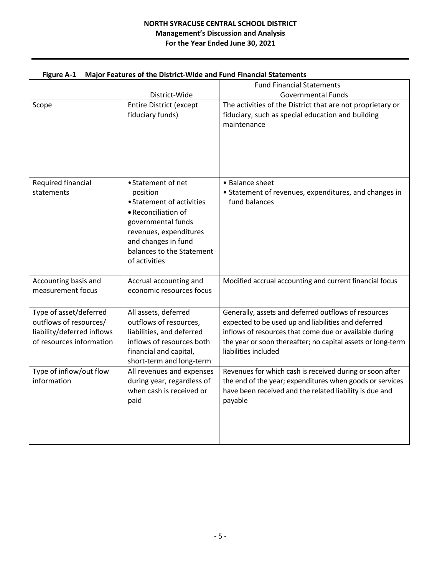|                                                                                                            |                                                                                                                                                                                                         | <b>Fund Financial Statements</b>                                                                                                                                                                                                                             |
|------------------------------------------------------------------------------------------------------------|---------------------------------------------------------------------------------------------------------------------------------------------------------------------------------------------------------|--------------------------------------------------------------------------------------------------------------------------------------------------------------------------------------------------------------------------------------------------------------|
|                                                                                                            | District-Wide                                                                                                                                                                                           | <b>Governmental Funds</b>                                                                                                                                                                                                                                    |
| Scope                                                                                                      | <b>Entire District (except</b><br>fiduciary funds)                                                                                                                                                      | The activities of the District that are not proprietary or<br>fiduciary, such as special education and building<br>maintenance                                                                                                                               |
| Required financial<br>statements                                                                           | • Statement of net<br>position<br>• Statement of activities<br>• Reconciliation of<br>governmental funds<br>revenues, expenditures<br>and changes in fund<br>balances to the Statement<br>of activities | • Balance sheet<br>• Statement of revenues, expenditures, and changes in<br>fund balances                                                                                                                                                                    |
| Accounting basis and<br>measurement focus                                                                  | Accrual accounting and<br>economic resources focus                                                                                                                                                      | Modified accrual accounting and current financial focus                                                                                                                                                                                                      |
| Type of asset/deferred<br>outflows of resources/<br>liability/deferred inflows<br>of resources information | All assets, deferred<br>outflows of resources,<br>liabilities, and deferred<br>inflows of resources both<br>financial and capital,<br>short-term and long-term                                          | Generally, assets and deferred outflows of resources<br>expected to be used up and liabilities and deferred<br>inflows of resources that come due or available during<br>the year or soon thereafter; no capital assets or long-term<br>liabilities included |
| Type of inflow/out flow<br>information                                                                     | All revenues and expenses<br>during year, regardless of<br>when cash is received or<br>paid                                                                                                             | Revenues for which cash is received during or soon after<br>the end of the year; expenditures when goods or services<br>have been received and the related liability is due and<br>payable                                                                   |

# Figure A-1 Major Features of the District-Wide and Fund Financial Statements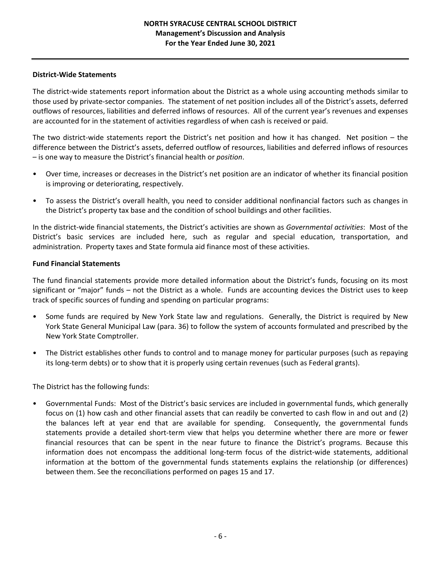#### **District‐Wide Statements**

The district-wide statements report information about the District as a whole using accounting methods similar to those used by private‐sector companies. The statement of net position includes all of the District's assets, deferred outflows of resources, liabilities and deferred inflows of resources. All of the current year's revenues and expenses are accounted for in the statement of activities regardless of when cash is received or paid.

The two district-wide statements report the District's net position and how it has changed. Net position – the difference between the District's assets, deferred outflow of resources, liabilities and deferred inflows of resources – is one way to measure the District's financial health or *position*.

- Over time, increases or decreases in the District's net position are an indicator of whether its financial position is improving or deteriorating, respectively.
- To assess the District's overall health, you need to consider additional nonfinancial factors such as changes in the District's property tax base and the condition of school buildings and other facilities.

In the district‐wide financial statements, the District's activities are shown as *Governmental activities*: Most of the District's basic services are included here, such as regular and special education, transportation, and administration. Property taxes and State formula aid finance most of these activities.

#### **Fund Financial Statements**

The fund financial statements provide more detailed information about the District's funds, focusing on its most significant or "major" funds – not the District as a whole. Funds are accounting devices the District uses to keep track of specific sources of funding and spending on particular programs:

- Some funds are required by New York State law and regulations. Generally, the District is required by New York State General Municipal Law (para. 36) to follow the system of accounts formulated and prescribed by the New York State Comptroller.
- The District establishes other funds to control and to manage money for particular purposes (such as repaying its long-term debts) or to show that it is properly using certain revenues (such as Federal grants).

The District has the following funds:

• Governmental Funds: Most of the District's basic services are included in governmental funds, which generally focus on (1) how cash and other financial assets that can readily be converted to cash flow in and out and (2) the balances left at year end that are available for spending. Consequently, the governmental funds statements provide a detailed short‐term view that helps you determine whether there are more or fewer financial resources that can be spent in the near future to finance the District's programs. Because this information does not encompass the additional long‐term focus of the district‐wide statements, additional information at the bottom of the governmental funds statements explains the relationship (or differences) between them. See the reconciliations performed on pages 15 and 17.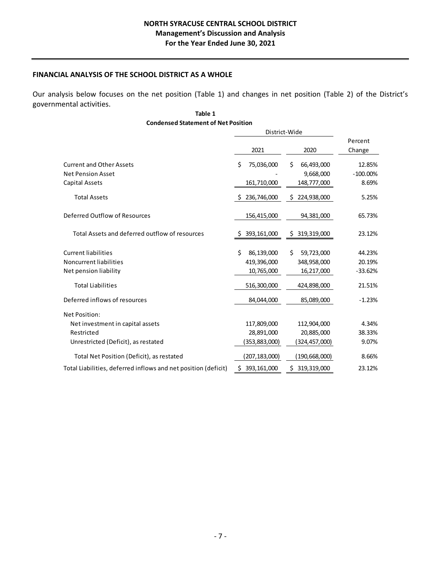#### **FINANCIAL ANALYSIS OF THE SCHOOL DISTRICT AS A WHOLE**

Our analysis below focuses on the net position (Table 1) and changes in net position (Table 2) of the District's governmental activities.

#### **Table 1 Condensed Statement of Net Position**

|                                                                | District-Wide     |                   |                   |
|----------------------------------------------------------------|-------------------|-------------------|-------------------|
|                                                                | 2021              | 2020              | Percent<br>Change |
| <b>Current and Other Assets</b>                                | Ś.<br>75,036,000  | \$<br>66,493,000  | 12.85%            |
| <b>Net Pension Asset</b>                                       |                   | 9,668,000         | $-100.00\%$       |
| Capital Assets                                                 | 161,710,000       | 148,777,000       | 8.69%             |
| <b>Total Assets</b>                                            | 236,746,000<br>Ŝ. | 224,938,000<br>Ś. | 5.25%             |
| Deferred Outflow of Resources                                  | 156,415,000       | 94,381,000        | 65.73%            |
| Total Assets and deferred outflow of resources                 | 393,161,000<br>Ŝ. | \$<br>319,319,000 | 23.12%            |
| <b>Current liabilities</b>                                     | Ś.<br>86,139,000  | \$<br>59,723,000  | 44.23%            |
| Noncurrent liabilities                                         | 419,396,000       | 348,958,000       | 20.19%            |
| Net pension liability                                          | 10,765,000        | 16,217,000        | $-33.62%$         |
| <b>Total Liabilities</b>                                       | 516,300,000       | 424,898,000       | 21.51%            |
| Deferred inflows of resources                                  | 84,044,000        | 85,089,000        | $-1.23%$          |
| Net Position:                                                  |                   |                   |                   |
| Net investment in capital assets                               | 117,809,000       | 112,904,000       | 4.34%             |
| Restricted                                                     | 28,891,000        | 20,885,000        | 38.33%            |
| Unrestricted (Deficit), as restated                            | (353,883,000)     | (324,457,000)     | 9.07%             |
| Total Net Position (Deficit), as restated                      | (207, 183, 000)   | (190, 668, 000)   | 8.66%             |
| Total Liabilities, deferred inflows and net position (deficit) | \$393,161,000     | \$319,319,000     | 23.12%            |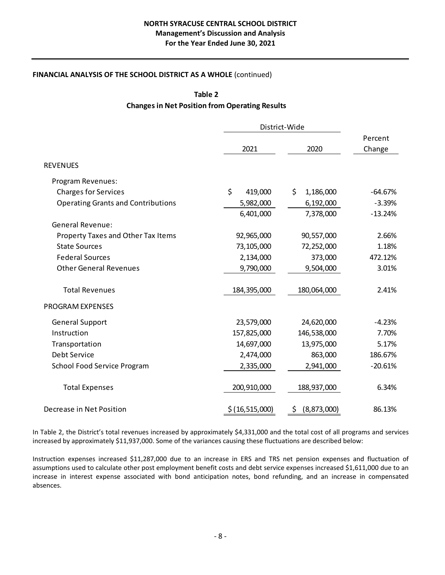#### **FINANCIAL ANALYSIS OF THE SCHOOL DISTRICT AS A WHOLE** (continued)

#### **Table 2**

#### **Changes in Net Position from Operating Results**

|                                           |                | District-Wide     |           |
|-------------------------------------------|----------------|-------------------|-----------|
|                                           |                |                   | Percent   |
|                                           | 2021           | 2020              | Change    |
| <b>REVENUES</b>                           |                |                   |           |
| Program Revenues:                         |                |                   |           |
| <b>Charges for Services</b>               | \$<br>419,000  | \$<br>1,186,000   | $-64.67%$ |
| <b>Operating Grants and Contributions</b> | 5,982,000      | 6,192,000         | $-3.39%$  |
|                                           | 6,401,000      | 7,378,000         | $-13.24%$ |
| <b>General Revenue:</b>                   |                |                   |           |
| Property Taxes and Other Tax Items        | 92,965,000     | 90,557,000        | 2.66%     |
| <b>State Sources</b>                      | 73,105,000     | 72,252,000        | 1.18%     |
| <b>Federal Sources</b>                    | 2,134,000      | 373,000           | 472.12%   |
| <b>Other General Revenues</b>             | 9,790,000      | 9,504,000         | 3.01%     |
| <b>Total Revenues</b>                     | 184,395,000    | 180,064,000       | 2.41%     |
| <b>PROGRAM EXPENSES</b>                   |                |                   |           |
| <b>General Support</b>                    | 23,579,000     | 24,620,000        | $-4.23%$  |
| Instruction                               | 157,825,000    | 146,538,000       | 7.70%     |
| Transportation                            | 14,697,000     | 13,975,000        | 5.17%     |
| Debt Service                              | 2,474,000      | 863,000           | 186.67%   |
| School Food Service Program               | 2,335,000      | 2,941,000         | $-20.61%$ |
| <b>Total Expenses</b>                     | 200,910,000    | 188,937,000       | 6.34%     |
| Decrease in Net Position                  | \$(16,515,000) | (8,873,000)<br>\$ | 86.13%    |

In Table 2, the District's total revenues increased by approximately \$4,331,000 and the total cost of all programs and services increased by approximately \$11,937,000. Some of the variances causing these fluctuations are described below:

Instruction expenses increased \$11,287,000 due to an increase in ERS and TRS net pension expenses and fluctuation of assumptions used to calculate other post employment benefit costs and debt service expenses increased \$1,611,000 due to an increase in interest expense associated with bond anticipation notes, bond refunding, and an increase in compensated absences.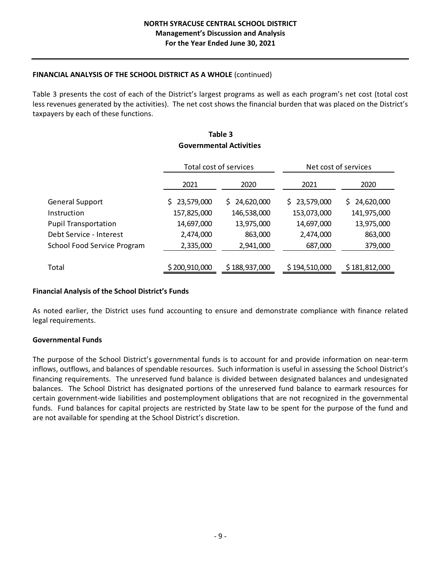#### **FINANCIAL ANALYSIS OF THE SCHOOL DISTRICT AS A WHOLE** (continued)

Table 3 presents the cost of each of the District's largest programs as well as each program's net cost (total cost less revenues generated by the activities). The net cost shows the financial burden that was placed on the District's taxpayers by each of these functions.

# **Table 3 Governmental Activities**

|                             |                  | Total cost of services | Net cost of services |                  |  |  |  |
|-----------------------------|------------------|------------------------|----------------------|------------------|--|--|--|
|                             | 2021<br>2020     |                        | 2021                 | 2020             |  |  |  |
| <b>General Support</b>      | 23,579,000<br>S. | 24,620,000<br>S.       | \$23,579,000         | 24,620,000<br>S. |  |  |  |
| Instruction                 | 157,825,000      | 146,538,000            | 153,073,000          | 141,975,000      |  |  |  |
| <b>Pupil Transportation</b> | 14,697,000       | 13,975,000             | 14,697,000           | 13,975,000       |  |  |  |
| Debt Service - Interest     | 2,474,000        | 863,000                | 2,474,000            | 863,000          |  |  |  |
| School Food Service Program | 2,335,000        | 2,941,000              | 687,000              | 379,000          |  |  |  |
|                             |                  |                        |                      |                  |  |  |  |
| Total                       | \$200,910,000    | \$188,937,000          | \$194,510,000        | \$181,812,000    |  |  |  |

#### **Financial Analysis of the School District's Funds**

As noted earlier, the District uses fund accounting to ensure and demonstrate compliance with finance related legal requirements.

#### **Governmental Funds**

The purpose of the School District's governmental funds is to account for and provide information on near‐term inflows, outflows, and balances of spendable resources. Such information is useful in assessing the School District's financing requirements. The unreserved fund balance is divided between designated balances and undesignated balances. The School District has designated portions of the unreserved fund balance to earmark resources for certain government‐wide liabilities and postemployment obligations that are not recognized in the governmental funds. Fund balances for capital projects are restricted by State law to be spent for the purpose of the fund and are not available for spending at the School District's discretion.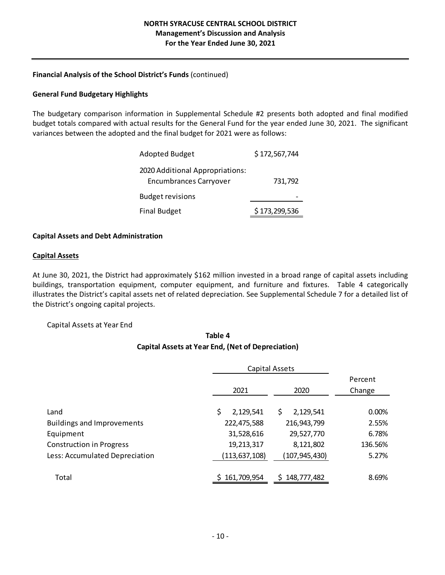#### **Financial Analysis of the School District's Funds** (continued)

#### **General Fund Budgetary Highlights**

The budgetary comparison information in Supplemental Schedule #2 presents both adopted and final modified budget totals compared with actual results for the General Fund for the year ended June 30, 2021. The significant variances between the adopted and the final budget for 2021 were as follows:

| Adopted Budget                                                   | \$172,567,744 |
|------------------------------------------------------------------|---------------|
| 2020 Additional Appropriations:<br><b>Encumbrances Carryover</b> | 731,792       |
| <b>Budget revisions</b>                                          |               |
| <b>Final Budget</b>                                              | \$173,299,536 |

#### **Capital Assets and Debt Administration**

#### **Capital Assets**

At June 30, 2021, the District had approximately \$162 million invested in a broad range of capital assets including buildings, transportation equipment, computer equipment, and furniture and fixtures. Table 4 categorically illustrates the District's capital assets net of related depreciation. See Supplemental Schedule 7 for a detailed list of the District's ongoing capital projects.

Capital Assets at Year End

# **Table 4 Capital Assets at Year End, (Net of Depreciation)**

|                                   |                 | Capital Assets  |                   |  |  |  |  |  |
|-----------------------------------|-----------------|-----------------|-------------------|--|--|--|--|--|
|                                   | 2021            | 2020            | Percent<br>Change |  |  |  |  |  |
| Land                              | \$<br>2,129,541 | 2,129,541<br>\$ | 0.00%             |  |  |  |  |  |
| <b>Buildings and Improvements</b> | 222,475,588     | 216,943,799     | 2.55%             |  |  |  |  |  |
| Equipment                         | 31,528,616      | 29,527,770      | 6.78%             |  |  |  |  |  |
| <b>Construction in Progress</b>   | 19,213,317      | 8,121,802       | 136.56%           |  |  |  |  |  |
| Less: Accumulated Depreciation    | (113, 637, 108) | (107,945,430)   | 5.27%             |  |  |  |  |  |
| Total                             | \$161,709,954   | \$148,777,482   | 8.69%             |  |  |  |  |  |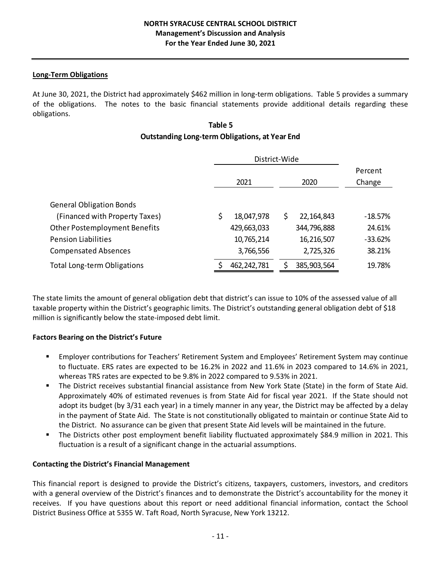#### **Long‐Term Obligations**

At June 30, 2021, the District had approximately \$462 million in long‐term obligations. Table 5 provides a summary of the obligations. The notes to the basic financial statements provide additional details regarding these obligations.

# **Table 5 Outstanding Long‐term Obligations, at Year End**

|                                      | District-Wide |   |              |                   |  |  |  |
|--------------------------------------|---------------|---|--------------|-------------------|--|--|--|
|                                      | 2021          |   | 2020         | Percent<br>Change |  |  |  |
| <b>General Obligation Bonds</b>      |               |   |              |                   |  |  |  |
| (Financed with Property Taxes)       | 18,047,978    | S | 22, 164, 843 | -18.57%           |  |  |  |
| <b>Other Postemployment Benefits</b> | 429,663,033   |   | 344,796,888  | 24.61%            |  |  |  |
| <b>Pension Liabilities</b>           | 10,765,214    |   | 16,216,507   | $-33.62%$         |  |  |  |
| <b>Compensated Absences</b>          | 3,766,556     |   | 2,725,326    | 38.21%            |  |  |  |
| <b>Total Long-term Obligations</b>   | 462,242,781   |   | 385,903,564  | 19.78%            |  |  |  |

The state limits the amount of general obligation debt that district's can issue to 10% of the assessed value of all taxable property within the District's geographic limits. The District's outstanding general obligation debt of \$18 million is significantly below the state‐imposed debt limit.

### **Factors Bearing on the District's Future**

- Employer contributions for Teachers' Retirement System and Employees' Retirement System may continue to fluctuate. ERS rates are expected to be 16.2% in 2022 and 11.6% in 2023 compared to 14.6% in 2021, whereas TRS rates are expected to be 9.8% in 2022 compared to 9.53% in 2021.
- The District receives substantial financial assistance from New York State (State) in the form of State Aid. Approximately 40% of estimated revenues is from State Aid for fiscal year 2021. If the State should not adopt its budget (by 3/31 each year) in a timely manner in any year, the District may be affected by a delay in the payment of State Aid. The State is not constitutionally obligated to maintain or continue State Aid to the District. No assurance can be given that present State Aid levels will be maintained in the future.
- The Districts other post employment benefit liability fluctuated approximately \$84.9 million in 2021. This fluctuation is a result of a significant change in the actuarial assumptions.

#### **Contacting the District's Financial Management**

This financial report is designed to provide the District's citizens, taxpayers, customers, investors, and creditors with a general overview of the District's finances and to demonstrate the District's accountability for the money it receives. If you have questions about this report or need additional financial information, contact the School District Business Office at 5355 W. Taft Road, North Syracuse, New York 13212.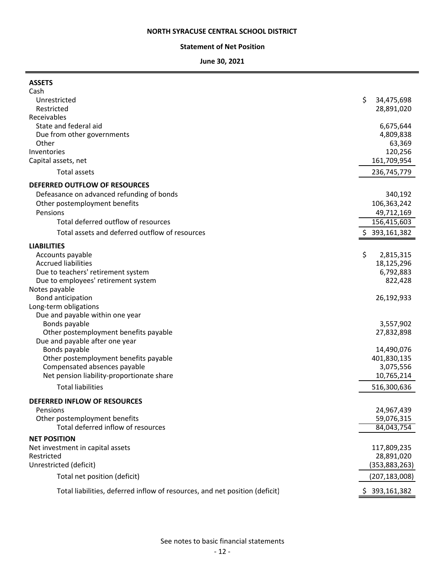#### **Statement of Net Position**

# **June 30, 2021**

| <b>ASSETS</b>                                                               |                  |
|-----------------------------------------------------------------------------|------------------|
| Cash                                                                        |                  |
| Unrestricted                                                                | \$<br>34,475,698 |
| Restricted                                                                  | 28,891,020       |
| Receivables                                                                 |                  |
| State and federal aid                                                       | 6,675,644        |
| Due from other governments                                                  | 4,809,838        |
| Other                                                                       | 63,369           |
| Inventories                                                                 | 120,256          |
| Capital assets, net                                                         | 161,709,954      |
| Total assets                                                                | 236,745,779      |
| DEFERRED OUTFLOW OF RESOURCES                                               |                  |
| Defeasance on advanced refunding of bonds                                   | 340,192          |
| Other postemployment benefits                                               | 106,363,242      |
| Pensions                                                                    | 49,712,169       |
| Total deferred outflow of resources                                         | 156,415,603      |
|                                                                             |                  |
| Total assets and deferred outflow of resources                              | \$393,161,382    |
| <b>LIABILITIES</b>                                                          |                  |
| Accounts payable                                                            | \$<br>2,815,315  |
| <b>Accrued liabilities</b>                                                  | 18,125,296       |
| Due to teachers' retirement system                                          | 6,792,883        |
| Due to employees' retirement system                                         | 822,428          |
| Notes payable                                                               |                  |
| Bond anticipation                                                           | 26,192,933       |
| Long-term obligations                                                       |                  |
| Due and payable within one year                                             |                  |
| Bonds payable                                                               | 3,557,902        |
| Other postemployment benefits payable                                       | 27,832,898       |
| Due and payable after one year                                              |                  |
| Bonds payable                                                               | 14,490,076       |
| Other postemployment benefits payable                                       | 401,830,135      |
| Compensated absences payable                                                | 3,075,556        |
| Net pension liability-proportionate share                                   | 10,765,214       |
| <b>Total liabilities</b>                                                    | 516,300,636      |
|                                                                             |                  |
| DEFERRED INFLOW OF RESOURCES                                                |                  |
| Pensions                                                                    | 24,967,439       |
| Other postemployment benefits                                               | 59,076,315       |
| Total deferred inflow of resources                                          | 84,043,754       |
| <b>NET POSITION</b>                                                         |                  |
| Net investment in capital assets                                            | 117,809,235      |
| Restricted                                                                  | 28,891,020       |
| Unrestricted (deficit)                                                      | (353,883,263)    |
| Total net position (deficit)                                                | (207, 183, 008)  |
| Total liabilities, deferred inflow of resources, and net position (deficit) | 393,161,382      |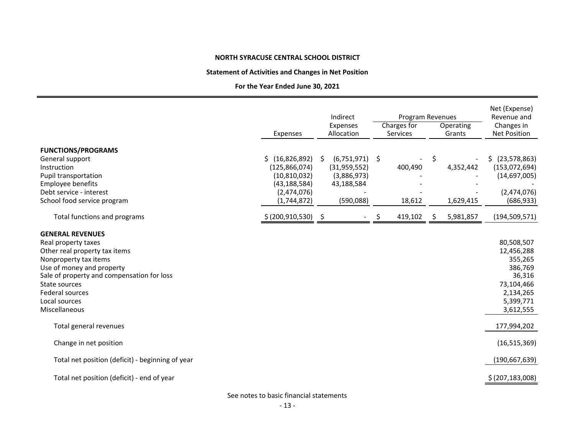#### **Statement of Activities and Changes in Net Position**

#### **For the Year Ended June 30, 2021**

|                                                  |                      | Indirect<br>Expenses   | Program Revenues<br><b>Operating</b> | Net (Expense)<br>Revenue and<br>Changes in |                     |
|--------------------------------------------------|----------------------|------------------------|--------------------------------------|--------------------------------------------|---------------------|
|                                                  | Expenses             | Allocation             | Charges for<br>Services              | Grants                                     | <b>Net Position</b> |
|                                                  |                      |                        |                                      |                                            |                     |
| <b>FUNCTIONS/PROGRAMS</b><br>General support     | (16, 826, 892)<br>Ś. | $(6,751,971)$ \$<br>S. |                                      | \$                                         | \$ (23,578,863)     |
| Instruction                                      | (125, 866, 074)      | (31,959,552)           | 400,490                              | 4,352,442                                  | (153,072,694)       |
| Pupil transportation                             | (10, 810, 032)       | (3,886,973)            |                                      |                                            | (14,697,005)        |
| Employee benefits                                | (43, 188, 584)       | 43,188,584             |                                      |                                            |                     |
| Debt service - interest                          | (2,474,076)          |                        |                                      |                                            | (2,474,076)         |
| School food service program                      | (1,744,872)          | (590,088)              | 18,612                               | 1,629,415                                  | (686, 933)          |
| Total functions and programs                     | \$(200, 910, 530)    | - \$                   | 419,102<br>Ş                         | 5,981,857<br>Ş.                            | (194, 509, 571)     |
| <b>GENERAL REVENUES</b>                          |                      |                        |                                      |                                            |                     |
| Real property taxes                              |                      |                        |                                      |                                            | 80,508,507          |
| Other real property tax items                    |                      |                        |                                      |                                            | 12,456,288          |
| Nonproperty tax items                            |                      |                        |                                      |                                            | 355,265             |
| Use of money and property                        |                      |                        |                                      |                                            | 386,769             |
| Sale of property and compensation for loss       |                      |                        |                                      |                                            | 36,316              |
| State sources                                    |                      |                        |                                      |                                            | 73,104,466          |
| <b>Federal sources</b>                           |                      |                        |                                      |                                            | 2,134,265           |
| Local sources                                    |                      |                        |                                      |                                            | 5,399,771           |
| Miscellaneous                                    |                      |                        |                                      |                                            | 3,612,555           |
| Total general revenues                           |                      |                        |                                      |                                            | 177,994,202         |
| Change in net position                           |                      |                        |                                      |                                            | (16, 515, 369)      |
| Total net position (deficit) - beginning of year |                      |                        |                                      |                                            | (190,667,639)       |
| Total net position (deficit) - end of year       |                      |                        |                                      |                                            | \$ (207, 183, 008)  |

#### See notes to basic financial statements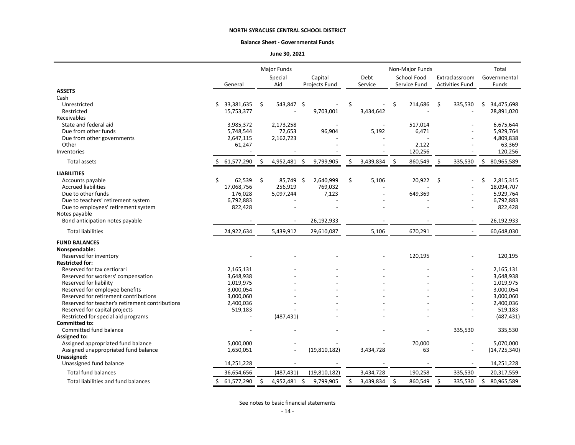#### **Balance Sheet ‐ Governmental Funds**

**June 30, 2021**

|                                                 | <b>Major Funds</b> |                |    | Non-Major Funds          |     |                          |    |                 |    | Total                       |     |                                          |    |                       |
|-------------------------------------------------|--------------------|----------------|----|--------------------------|-----|--------------------------|----|-----------------|----|-----------------------------|-----|------------------------------------------|----|-----------------------|
|                                                 |                    | General        |    | Special<br>Aid           |     | Capital<br>Projects Fund |    | Debt<br>Service |    | School Food<br>Service Fund |     | Extraclassroom<br><b>Activities Fund</b> |    | Governmental<br>Funds |
| <b>ASSETS</b>                                   |                    |                |    |                          |     |                          |    |                 |    |                             |     |                                          |    |                       |
| Cash                                            |                    |                |    |                          |     |                          |    |                 |    |                             |     |                                          |    |                       |
| Unrestricted                                    | Ś                  | 33,381,635     | \$ | 543,847 \$               |     |                          | \$ |                 | \$ | 214.686                     | \$  | 335,530                                  | Ś. | 34,475,698            |
| Restricted                                      |                    | 15,753,377     |    |                          |     | 9,703,001                |    | 3,434,642       |    |                             |     |                                          |    | 28,891,020            |
| Receivables                                     |                    |                |    |                          |     |                          |    |                 |    |                             |     |                                          |    |                       |
| State and federal aid                           |                    | 3,985,372      |    | 2,173,258                |     |                          |    |                 |    | 517,014                     |     |                                          |    | 6,675,644             |
| Due from other funds                            |                    | 5,748,544      |    | 72,653                   |     | 96,904                   |    | 5,192           |    | 6,471                       |     |                                          |    | 5,929,764             |
| Due from other governments                      |                    | 2,647,115      |    | 2,162,723                |     |                          |    |                 |    |                             |     |                                          |    | 4,809,838             |
| Other                                           |                    | 61,247         |    |                          |     |                          |    |                 |    | 2,122                       |     |                                          |    | 63,369                |
| Inventories                                     |                    | $\overline{a}$ |    |                          |     |                          |    |                 |    | 120,256                     |     |                                          |    | 120,256               |
| Total assets                                    |                    | 61,577,290     | \$ | 4,952,481                | -\$ | 9,799,905                | Ś  | 3,439,834       | \$ | 860,549                     | \$  | 335,530                                  | \$ | 80,965,589            |
| <b>LIABILITIES</b>                              |                    |                |    |                          |     |                          |    |                 |    |                             |     |                                          |    |                       |
| Accounts payable                                | \$                 | 62,539         | \$ | 85,749 \$                |     | 2,640,999                | \$ | 5,106           |    | 20,922                      | -\$ |                                          | Ś. | 2,815,315             |
| <b>Accrued liabilities</b>                      |                    | 17,068,756     |    | 256,919                  |     | 769,032                  |    |                 |    |                             |     |                                          |    | 18,094,707            |
| Due to other funds                              |                    | 176,028        |    | 5,097,244                |     | 7,123                    |    |                 |    | 649,369                     |     |                                          |    | 5,929,764             |
| Due to teachers' retirement system              |                    | 6,792,883      |    |                          |     |                          |    |                 |    |                             |     |                                          |    | 6,792,883             |
| Due to employees' retirement system             |                    | 822,428        |    |                          |     |                          |    |                 |    |                             |     |                                          |    | 822,428               |
| Notes payable                                   |                    |                |    |                          |     |                          |    |                 |    |                             |     |                                          |    |                       |
| Bond anticipation notes payable                 |                    |                |    | $\overline{\phantom{a}}$ |     | 26,192,933               |    |                 |    |                             |     |                                          |    | 26,192,933            |
| <b>Total liabilities</b>                        |                    | 24,922,634     |    | 5,439,912                |     | 29,610,087               |    | 5,106           |    | 670,291                     |     |                                          |    | 60,648,030            |
| <b>FUND BALANCES</b>                            |                    |                |    |                          |     |                          |    |                 |    |                             |     |                                          |    |                       |
| Nonspendable:                                   |                    |                |    |                          |     |                          |    |                 |    |                             |     |                                          |    |                       |
| Reserved for inventory                          |                    |                |    |                          |     |                          |    |                 |    | 120,195                     |     |                                          |    | 120,195               |
| <b>Restricted for:</b>                          |                    |                |    |                          |     |                          |    |                 |    |                             |     |                                          |    |                       |
| Reserved for tax certiorari                     |                    | 2,165,131      |    |                          |     |                          |    |                 |    |                             |     |                                          |    | 2,165,131             |
| Reserved for workers' compensation              |                    | 3,648,938      |    |                          |     |                          |    |                 |    |                             |     |                                          |    | 3,648,938             |
| Reserved for liability                          |                    | 1,019,975      |    |                          |     |                          |    |                 |    |                             |     |                                          |    | 1,019,975             |
| Reserved for employee benefits                  |                    | 3,000,054      |    |                          |     |                          |    |                 |    |                             |     |                                          |    | 3,000,054             |
| Reserved for retirement contributions           |                    | 3,000,060      |    |                          |     |                          |    |                 |    |                             |     |                                          |    | 3,000,060             |
| Reserved for teacher's retirement contributions |                    | 2,400,036      |    |                          |     |                          |    |                 |    |                             |     |                                          |    | 2,400,036             |
| Reserved for capital projects                   |                    | 519,183        |    |                          |     |                          |    |                 |    |                             |     |                                          |    | 519,183               |
| Restricted for special aid programs             |                    |                |    | (487, 431)               |     |                          |    |                 |    |                             |     |                                          |    | (487, 431)            |
| <b>Committed to:</b>                            |                    |                |    |                          |     |                          |    |                 |    |                             |     |                                          |    |                       |
| Committed fund balance                          |                    |                |    |                          |     |                          |    |                 |    |                             |     | 335,530                                  |    | 335,530               |
| <b>Assigned to:</b>                             |                    |                |    |                          |     |                          |    |                 |    |                             |     |                                          |    |                       |
| Assigned appropriated fund balance              |                    | 5,000,000      |    |                          |     |                          |    |                 |    | 70,000                      |     |                                          |    | 5,070,000             |
| Assigned unappropriated fund balance            |                    | 1,650,051      |    | $\overline{a}$           |     | (19, 810, 182)           |    | 3,434,728       |    | 63                          |     | $\overline{a}$                           |    | (14, 725, 340)        |
| Unassigned:                                     |                    |                |    |                          |     |                          |    |                 |    |                             |     |                                          |    |                       |
| Unassigned fund balance                         |                    | 14,251,228     |    |                          |     |                          |    |                 |    |                             |     |                                          |    | 14,251,228            |
| <b>Total fund balances</b>                      |                    | 36,654,656     |    | (487, 431)               |     | (19, 810, 182)           |    | 3,434,728       |    | 190,258                     |     | 335,530                                  |    | 20,317,559            |
| Total liabilities and fund balances             | \$                 | 61,577,290     | Ś. | 4,952,481 \$             |     | 9,799,905                | Ś  | 3,439,834       | \$ | 860,549                     | \$  | 335,530                                  |    | \$ 80,965,589         |

See notes to basic financial statements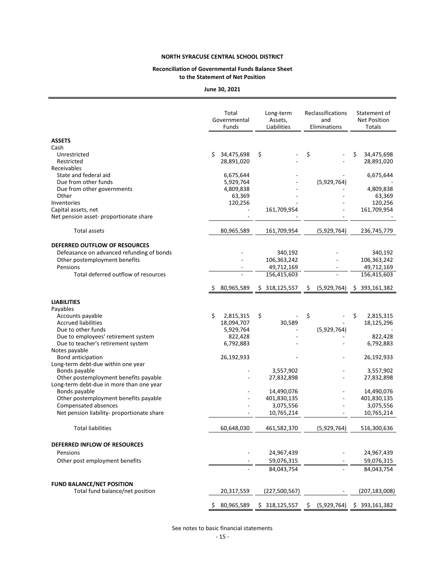#### **Reconciliation of Governmental Funds Balance Sheet to the Statement of Net Position**

#### **June 30, 2021**

|                                                                                                                                                                                                                           | Total<br>Long-term<br>Governmental<br>Assets,<br>Funds<br>Liabilities            |                                        | Reclassifications<br>and<br>Eliminations | Statement of<br><b>Net Position</b><br><b>Totals</b>                |
|---------------------------------------------------------------------------------------------------------------------------------------------------------------------------------------------------------------------------|----------------------------------------------------------------------------------|----------------------------------------|------------------------------------------|---------------------------------------------------------------------|
| <b>ASSETS</b>                                                                                                                                                                                                             |                                                                                  |                                        |                                          |                                                                     |
| Cash<br>Unrestricted<br>Restricted                                                                                                                                                                                        | \$<br>34,475,698<br>28,891,020                                                   | \$                                     | \$                                       | \$<br>34,475,698<br>28,891,020                                      |
| Receivables<br>State and federal aid<br>Due from other funds<br>Due from other governments<br>Other                                                                                                                       | 6,675,644<br>5,929,764<br>4,809,838<br>63,369                                    |                                        | (5,929,764)                              | 6,675,644<br>4,809,838<br>63,369                                    |
| Inventories<br>Capital assets, net                                                                                                                                                                                        | 120,256                                                                          | 161,709,954                            |                                          | 120,256<br>161,709,954                                              |
| Net pension asset-proportionate share                                                                                                                                                                                     |                                                                                  |                                        |                                          |                                                                     |
| <b>Total assets</b>                                                                                                                                                                                                       | 80,965,589                                                                       | 161,709,954                            | (5,929,764)                              | 236,745,779                                                         |
| DEFERRED OUTFLOW OF RESOURCES<br>Defeasance on advanced refunding of bonds<br>Other postemployment benefits<br>Pensions                                                                                                   |                                                                                  | 340,192<br>106,363,242<br>49,712,169   |                                          | 340,192<br>106,363,242<br>49,712,169                                |
| Total deferred outflow of resources                                                                                                                                                                                       |                                                                                  | 156,415,603                            |                                          | 156,415,603                                                         |
|                                                                                                                                                                                                                           | 80,965,589<br>S                                                                  | \$318, 125, 557                        | (5,929,764)<br>-S                        | \$393,161,382                                                       |
| <b>LIABILITIES</b><br>Payables<br>Accounts payable<br><b>Accrued liabilities</b><br>Due to other funds<br>Due to employees' retirement system<br>Due to teacher's retirement system<br>Notes payable<br>Bond anticipation | \$<br>2,815,315<br>18,094,707<br>5,929,764<br>822,428<br>6,792,883<br>26,192,933 | \$<br>30,589                           | \$<br>(5,929,764)                        | \$<br>2,815,315<br>18,125,296<br>822,428<br>6,792,883<br>26,192,933 |
| Long-term debt-due within one year<br>Bonds payable<br>Other postemployment benefits payable<br>Long-term debt-due in more than one year<br>Bonds payable                                                                 |                                                                                  | 3,557,902<br>27,832,898<br>14,490,076  |                                          | 3,557,902<br>27,832,898<br>14,490,076                               |
| Other postemployment benefits payable<br>Compensated absences<br>Net pension liability- proportionate share                                                                                                               |                                                                                  | 401,830,135<br>3,075,556<br>10,765,214 |                                          | 401,830,135<br>3,075,556<br>10,765,214                              |
| Total liabilities                                                                                                                                                                                                         | 60,648,030                                                                       | 461,582,370                            | (5,929,764)                              | 516,300,636                                                         |
| <b>DEFERRED INFLOW OF RESOURCES</b><br>Pensions<br>Other post employment benefits                                                                                                                                         |                                                                                  | 24,967,439<br>59,076,315<br>84,043,754 |                                          | 24,967,439<br>59,076,315<br>84,043,754                              |
| <b>FUND BALANCE/NET POSITION</b><br>Total fund balance/net position                                                                                                                                                       | 20,317,559                                                                       | (227, 500, 567)                        |                                          | (207,183,008)                                                       |
|                                                                                                                                                                                                                           | \$<br>80,965,589                                                                 | \$318, 125, 557                        | (5,929,764)<br>Ş.                        | \$393,161,382                                                       |

See notes to basic financial statements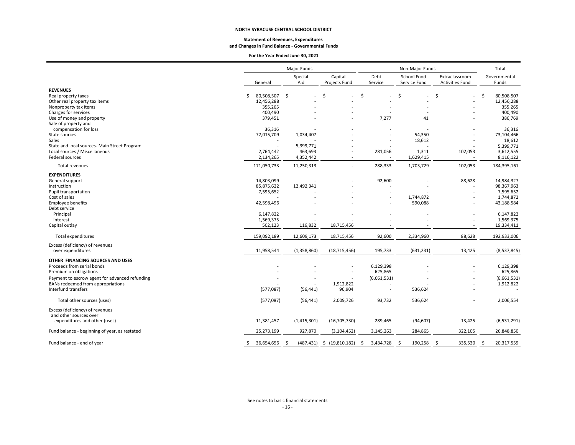#### **Statement of Revenues, Expenditures and Changes in Fund Balance ‐ Governmental Funds**

**For the Year Ended June 30, 2021**

|                                                | Major Funds      |                |                                  |                   | Total                       |                                          |                       |
|------------------------------------------------|------------------|----------------|----------------------------------|-------------------|-----------------------------|------------------------------------------|-----------------------|
|                                                | General          | Special<br>Aid | Capital<br>Projects Fund         | Debt<br>Service   | School Food<br>Service Fund | Extraclassroom<br><b>Activities Fund</b> | Governmental<br>Funds |
| <b>REVENUES</b>                                |                  |                |                                  |                   |                             |                                          |                       |
| Real property taxes                            | Ś<br>80,508,507  | -\$            | Ś                                | \$                | Ś                           | Ś<br>٠                                   | \$<br>80,508,507      |
| Other real property tax items                  | 12,456,288       |                |                                  |                   |                             |                                          | 12,456,288            |
| Nonproperty tax items                          | 355,265          |                |                                  |                   |                             |                                          | 355,265               |
| Charges for services                           | 400,490          |                |                                  |                   |                             |                                          | 400,490               |
| Use of money and property                      | 379,451          |                |                                  | 7,277             | 41                          |                                          | 386,769               |
| Sale of property and                           |                  |                |                                  |                   |                             |                                          |                       |
| compensation for loss                          | 36,316           |                |                                  |                   |                             |                                          | 36,316                |
| State sources                                  | 72,015,709       | 1,034,407      |                                  |                   | 54,350                      |                                          | 73,104,466            |
| Sales                                          |                  |                |                                  |                   | 18,612                      |                                          | 18,612                |
| State and local sources- Main Street Program   |                  | 5,399,771      |                                  |                   |                             |                                          | 5,399,771             |
| Local sources / Miscellaneous                  | 2,764,442        | 463,693        |                                  | 281,056           | 1,311                       | 102,053                                  | 3,612,555             |
| Federal sources                                | 2,134,265        | 4,352,442      |                                  |                   | 1,629,415                   |                                          | 8,116,122             |
| Total revenues                                 | 171,050,733      | 11,250,313     | $\sim$                           | 288,333           | 1,703,729                   | 102,053                                  | 184,395,161           |
| <b>EXPENDITURES</b>                            |                  |                |                                  |                   |                             |                                          |                       |
| General support                                | 14,803,099       |                |                                  | 92,600            |                             | 88,628                                   | 14,984,327            |
| Instruction                                    | 85,875,622       | 12,492,341     |                                  |                   |                             |                                          | 98,367,963            |
| Pupil transportation                           | 7,595,652        |                |                                  |                   |                             |                                          | 7,595,652             |
| Cost of sales                                  |                  |                |                                  |                   | 1,744,872                   |                                          | 1,744,872             |
| Employee benefits                              | 42,598,496       |                |                                  |                   | 590,088                     |                                          | 43,188,584            |
| Debt service                                   |                  |                |                                  |                   |                             |                                          |                       |
| Principal                                      | 6,147,822        |                |                                  |                   |                             |                                          | 6,147,822             |
| Interest                                       | 1,569,375        |                |                                  |                   |                             |                                          | 1,569,375             |
| Capital outlay                                 | 502,123          | 116,832        | 18,715,456                       |                   |                             |                                          | 19,334,411            |
| <b>Total expenditures</b>                      | 159,092,189      | 12,609,173     | 18,715,456                       | 92,600            | 2,334,960                   | 88,628                                   | 192,933,006           |
| Excess (deficiency) of revenues                |                  |                |                                  |                   |                             |                                          |                       |
| over expenditures                              | 11,958,544       | (1,358,860)    | (18, 715, 456)                   | 195,733           | (631, 231)                  | 13,425                                   | (8,537,845)           |
| OTHER FINANCING SOURCES AND USES               |                  |                |                                  |                   |                             |                                          |                       |
| Proceeds from serial bonds                     |                  |                |                                  | 6,129,398         |                             |                                          | 6,129,398             |
| Premium on obligations                         |                  |                |                                  | 625,865           |                             |                                          | 625,865               |
| Payment to escrow agent for advanced refunding |                  |                |                                  | (6,661,531)       |                             |                                          | (6,661,531)           |
| BANs redeemed from appropriations              |                  |                | 1,912,822                        |                   |                             |                                          | 1,912,822             |
| Interfund transfers                            | (577,087)        | (56, 441)      | 96,904                           |                   | 536,624                     |                                          |                       |
| Total other sources (uses)                     | (577,087)        | (56, 441)      | 2,009,726                        | 93,732            | 536,624                     |                                          | 2,006,554             |
| Excess (deficiency) of revenues                |                  |                |                                  |                   |                             |                                          |                       |
| and other sources over                         |                  |                |                                  |                   |                             |                                          |                       |
| expenditures and other (uses)                  | 11,381,457       | (1, 415, 301)  | (16, 705, 730)                   | 289,465           | (94, 607)                   | 13,425                                   | (6, 531, 291)         |
| Fund balance - beginning of year, as restated  | 25,273,199       | 927,870        | (3, 104, 452)                    | 3,145,263         | 284,865                     | 322,105                                  | 26,848,850            |
| Fund balance - end of year                     | 36,654,656<br>Ś. | -\$            | $(487, 431)$ \$ $(19, 810, 182)$ | 3,434,728<br>- \$ | 190,258<br>-Ś               | - \$<br>335,530                          | 20,317,559<br>Ŝ.      |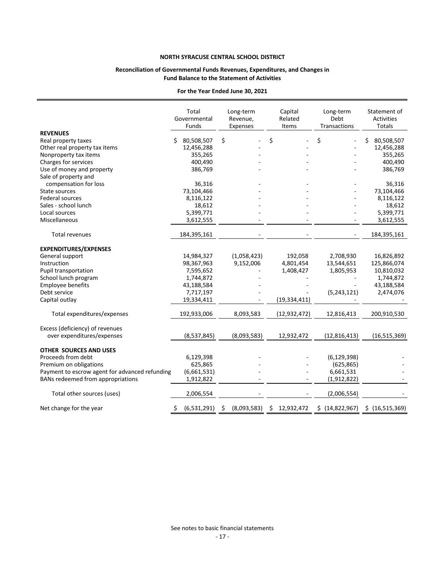#### **Reconciliation of Governmental Funds Revenues, Expenditures, and Changes in Fund Balance to the Statement of Activities**

#### **For the Year Ended June 30, 2021**

|                                                   | Total<br>Governmental<br><b>Funds</b> | Long-term<br>Revenue,<br>Expenses | Capital<br>Related<br>Items | Long-term<br><b>Debt</b><br><b>Transactions</b> | Statement of<br>Activities<br><b>Totals</b> |
|---------------------------------------------------|---------------------------------------|-----------------------------------|-----------------------------|-------------------------------------------------|---------------------------------------------|
| <b>REVENUES</b>                                   |                                       |                                   |                             |                                                 |                                             |
| Real property taxes                               | Ś.<br>80,508,507                      | \$                                | \$                          | \$                                              | \$<br>80,508,507                            |
| Other real property tax items                     | 12,456,288                            |                                   |                             |                                                 | 12,456,288                                  |
| Nonproperty tax items                             | 355,265                               |                                   |                             |                                                 | 355,265                                     |
| Charges for services<br>Use of money and property | 400,490<br>386,769                    |                                   |                             |                                                 | 400,490<br>386,769                          |
| Sale of property and                              |                                       |                                   |                             |                                                 |                                             |
| compensation for loss                             | 36,316                                |                                   |                             |                                                 | 36,316                                      |
| State sources                                     | 73,104,466                            |                                   |                             |                                                 | 73,104,466                                  |
| <b>Federal sources</b>                            | 8,116,122                             |                                   |                             |                                                 | 8,116,122                                   |
| Sales - school lunch                              | 18,612                                |                                   |                             |                                                 | 18,612                                      |
| Local sources                                     | 5,399,771                             |                                   |                             |                                                 | 5,399,771                                   |
| Miscellaneous                                     | 3,612,555                             |                                   |                             |                                                 | 3,612,555                                   |
|                                                   |                                       |                                   |                             |                                                 |                                             |
| Total revenues                                    | 184,395,161                           |                                   |                             |                                                 | 184,395,161                                 |
| <b>EXPENDITURES/EXPENSES</b>                      |                                       |                                   |                             |                                                 |                                             |
| General support                                   | 14,984,327                            | (1,058,423)                       | 192,058                     | 2,708,930                                       | 16,826,892                                  |
| Instruction                                       | 98,367,963                            | 9,152,006                         | 4,801,454                   | 13,544,651                                      | 125,866,074                                 |
| Pupil transportation                              | 7,595,652                             |                                   | 1,408,427                   | 1,805,953                                       | 10,810,032                                  |
| School lunch program                              | 1,744,872                             |                                   |                             |                                                 | 1,744,872                                   |
| Employee benefits                                 | 43,188,584                            |                                   |                             |                                                 | 43,188,584                                  |
| Debt service                                      | 7,717,197                             |                                   |                             | (5,243,121)                                     | 2,474,076                                   |
| Capital outlay                                    | 19,334,411                            |                                   | (19, 334, 411)              |                                                 |                                             |
| Total expenditures/expenses                       | 192,933,006                           | 8,093,583                         | (12, 932, 472)              | 12,816,413                                      | 200,910,530                                 |
| Excess (deficiency) of revenues                   |                                       |                                   |                             |                                                 |                                             |
| over expenditures/expenses                        | (8,537,845)                           | (8,093,583)                       | 12,932,472                  | (12, 816, 413)                                  | (16, 515, 369)                              |
| <b>OTHER SOURCES AND USES</b>                     |                                       |                                   |                             |                                                 |                                             |
| Proceeds from debt                                | 6,129,398                             |                                   |                             | (6, 129, 398)                                   |                                             |
| Premium on obligations                            | 625,865                               |                                   |                             | (625, 865)                                      |                                             |
| Payment to escrow agent for advanced refunding    | (6,661,531)                           |                                   |                             | 6,661,531                                       |                                             |
| BANs redeemed from appropriations                 | 1,912,822                             |                                   |                             | (1,912,822)                                     |                                             |
| Total other sources (uses)                        | 2,006,554                             |                                   |                             | (2,006,554)                                     |                                             |
| Net change for the year                           | \$<br>(6,531,291)                     | \$<br>(8,093,583)                 | \$<br>12,932,472            | \$ (14,822,967)                                 | \$ (16,515,369)                             |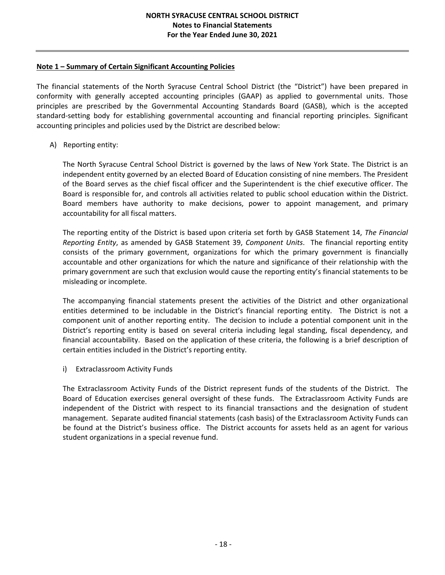#### **Note 1 – Summary of Certain Significant Accounting Policies**

The financial statements of the North Syracuse Central School District (the "District") have been prepared in conformity with generally accepted accounting principles (GAAP) as applied to governmental units. Those principles are prescribed by the Governmental Accounting Standards Board (GASB), which is the accepted standard‐setting body for establishing governmental accounting and financial reporting principles. Significant accounting principles and policies used by the District are described below:

A) Reporting entity:

The North Syracuse Central School District is governed by the laws of New York State. The District is an independent entity governed by an elected Board of Education consisting of nine members. The President of the Board serves as the chief fiscal officer and the Superintendent is the chief executive officer. The Board is responsible for, and controls all activities related to public school education within the District. Board members have authority to make decisions, power to appoint management, and primary accountability for all fiscal matters.

The reporting entity of the District is based upon criteria set forth by GASB Statement 14, *The Financial Reporting Entity*, as amended by GASB Statement 39, *Component Units*. The financial reporting entity consists of the primary government, organizations for which the primary government is financially accountable and other organizations for which the nature and significance of their relationship with the primary government are such that exclusion would cause the reporting entity's financial statements to be misleading or incomplete.

The accompanying financial statements present the activities of the District and other organizational entities determined to be includable in the District's financial reporting entity. The District is not a component unit of another reporting entity. The decision to include a potential component unit in the District's reporting entity is based on several criteria including legal standing, fiscal dependency, and financial accountability. Based on the application of these criteria, the following is a brief description of certain entities included in the District's reporting entity.

i) Extraclassroom Activity Funds

The Extraclassroom Activity Funds of the District represent funds of the students of the District. The Board of Education exercises general oversight of these funds. The Extraclassroom Activity Funds are independent of the District with respect to its financial transactions and the designation of student management. Separate audited financial statements (cash basis) of the Extraclassroom Activity Funds can be found at the District's business office. The District accounts for assets held as an agent for various student organizations in a special revenue fund.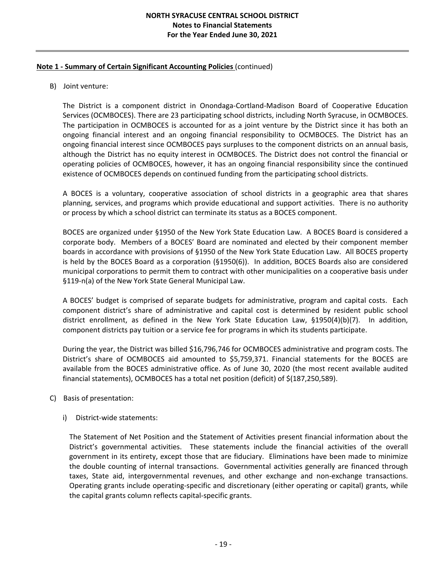#### **Note 1 ‐ Summary of Certain Significant Accounting Policies** (continued)

B) Joint venture:

The District is a component district in Onondaga‐Cortland‐Madison Board of Cooperative Education Services (OCMBOCES). There are 23 participating school districts, including North Syracuse, in OCMBOCES. The participation in OCMBOCES is accounted for as a joint venture by the District since it has both an ongoing financial interest and an ongoing financial responsibility to OCMBOCES. The District has an ongoing financial interest since OCMBOCES pays surpluses to the component districts on an annual basis, although the District has no equity interest in OCMBOCES. The District does not control the financial or operating policies of OCMBOCES, however, it has an ongoing financial responsibility since the continued existence of OCMBOCES depends on continued funding from the participating school districts.

A BOCES is a voluntary, cooperative association of school districts in a geographic area that shares planning, services, and programs which provide educational and support activities. There is no authority or process by which a school district can terminate its status as a BOCES component.

BOCES are organized under §1950 of the New York State Education Law. A BOCES Board is considered a corporate body. Members of a BOCES' Board are nominated and elected by their component member boards in accordance with provisions of §1950 of the New York State Education Law. All BOCES property is held by the BOCES Board as a corporation (§1950(6)). In addition, BOCES Boards also are considered municipal corporations to permit them to contract with other municipalities on a cooperative basis under §119-n(a) of the New York State General Municipal Law.

A BOCES' budget is comprised of separate budgets for administrative, program and capital costs. Each component district's share of administrative and capital cost is determined by resident public school district enrollment, as defined in the New York State Education Law, §1950(4)(b)(7). In addition, component districts pay tuition or a service fee for programs in which its students participate.

During the year, the District was billed \$16,796,746 for OCMBOCES administrative and program costs. The District's share of OCMBOCES aid amounted to \$5,759,371. Financial statements for the BOCES are available from the BOCES administrative office. As of June 30, 2020 (the most recent available audited financial statements), OCMBOCES has a total net position (deficit) of \$(187,250,589).

- C) Basis of presentation:
	- i) District-wide statements:

The Statement of Net Position and the Statement of Activities present financial information about the District's governmental activities. These statements include the financial activities of the overall government in its entirety, except those that are fiduciary. Eliminations have been made to minimize the double counting of internal transactions. Governmental activities generally are financed through taxes, State aid, intergovernmental revenues, and other exchange and non‐exchange transactions. Operating grants include operating‐specific and discretionary (either operating or capital) grants, while the capital grants column reflects capital‐specific grants.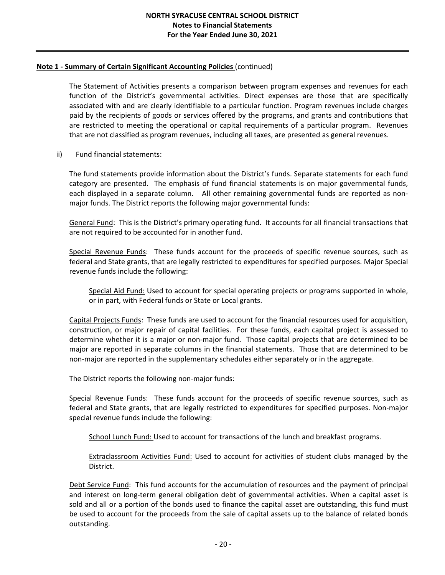#### **Note 1 ‐ Summary of Certain Significant Accounting Policies** (continued)

The Statement of Activities presents a comparison between program expenses and revenues for each function of the District's governmental activities. Direct expenses are those that are specifically associated with and are clearly identifiable to a particular function. Program revenues include charges paid by the recipients of goods or services offered by the programs, and grants and contributions that are restricted to meeting the operational or capital requirements of a particular program. Revenues that are not classified as program revenues, including all taxes, are presented as general revenues.

ii) Fund financial statements:

The fund statements provide information about the District's funds. Separate statements for each fund category are presented. The emphasis of fund financial statements is on major governmental funds, each displayed in a separate column. All other remaining governmental funds are reported as nonmajor funds. The District reports the following major governmental funds:

General Fund: This is the District's primary operating fund. It accounts for all financial transactions that are not required to be accounted for in another fund.

Special Revenue Funds: These funds account for the proceeds of specific revenue sources, such as federal and State grants, that are legally restricted to expenditures for specified purposes. Major Special revenue funds include the following:

Special Aid Fund: Used to account for special operating projects or programs supported in whole, or in part, with Federal funds or State or Local grants.

Capital Projects Funds: These funds are used to account for the financial resources used for acquisition, construction, or major repair of capital facilities. For these funds, each capital project is assessed to determine whether it is a major or non‐major fund. Those capital projects that are determined to be major are reported in separate columns in the financial statements. Those that are determined to be non-major are reported in the supplementary schedules either separately or in the aggregate.

The District reports the following non‐major funds:

Special Revenue Funds: These funds account for the proceeds of specific revenue sources, such as federal and State grants, that are legally restricted to expenditures for specified purposes. Non‐major special revenue funds include the following:

School Lunch Fund: Used to account for transactions of the lunch and breakfast programs.

Extraclassroom Activities Fund: Used to account for activities of student clubs managed by the District.

Debt Service Fund: This fund accounts for the accumulation of resources and the payment of principal and interest on long-term general obligation debt of governmental activities. When a capital asset is sold and all or a portion of the bonds used to finance the capital asset are outstanding, this fund must be used to account for the proceeds from the sale of capital assets up to the balance of related bonds outstanding.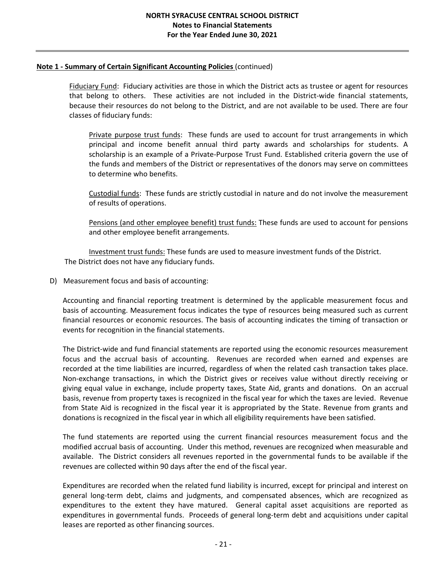#### **Note 1 ‐ Summary of Certain Significant Accounting Policies** (continued)

Fiduciary Fund: Fiduciary activities are those in which the District acts as trustee or agent for resources that belong to others. These activities are not included in the District-wide financial statements, because their resources do not belong to the District, and are not available to be used. There are four classes of fiduciary funds:

Private purpose trust funds: These funds are used to account for trust arrangements in which principal and income benefit annual third party awards and scholarships for students. A scholarship is an example of a Private‐Purpose Trust Fund. Established criteria govern the use of the funds and members of the District or representatives of the donors may serve on committees to determine who benefits.

Custodial funds: These funds are strictly custodial in nature and do not involve the measurement of results of operations.

Pensions (and other employee benefit) trust funds: These funds are used to account for pensions and other employee benefit arrangements.

Investment trust funds: These funds are used to measure investment funds of the District. The District does not have any fiduciary funds.

D) Measurement focus and basis of accounting:

Accounting and financial reporting treatment is determined by the applicable measurement focus and basis of accounting. Measurement focus indicates the type of resources being measured such as current financial resources or economic resources. The basis of accounting indicates the timing of transaction or events for recognition in the financial statements.

The District-wide and fund financial statements are reported using the economic resources measurement focus and the accrual basis of accounting. Revenues are recorded when earned and expenses are recorded at the time liabilities are incurred, regardless of when the related cash transaction takes place. Non-exchange transactions, in which the District gives or receives value without directly receiving or giving equal value in exchange, include property taxes, State Aid, grants and donations. On an accrual basis, revenue from property taxes is recognized in the fiscal year for which the taxes are levied. Revenue from State Aid is recognized in the fiscal year it is appropriated by the State. Revenue from grants and donations is recognized in the fiscal year in which all eligibility requirements have been satisfied.

The fund statements are reported using the current financial resources measurement focus and the modified accrual basis of accounting. Under this method, revenues are recognized when measurable and available. The District considers all revenues reported in the governmental funds to be available if the revenues are collected within 90 days after the end of the fiscal year.

Expenditures are recorded when the related fund liability is incurred, except for principal and interest on general long‐term debt, claims and judgments, and compensated absences, which are recognized as expenditures to the extent they have matured. General capital asset acquisitions are reported as expenditures in governmental funds. Proceeds of general long‐term debt and acquisitions under capital leases are reported as other financing sources.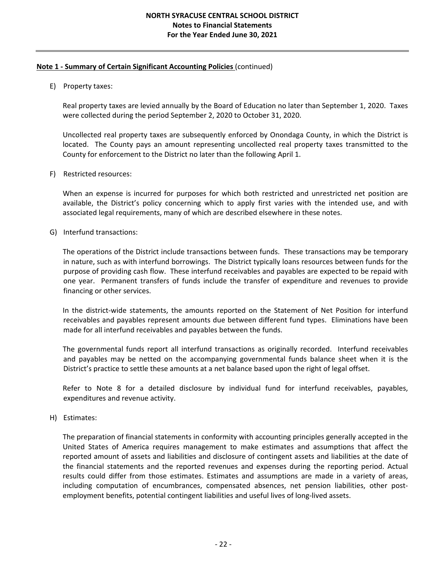#### **Note 1 ‐ Summary of Certain Significant Accounting Policies** (continued)

E) Property taxes:

Real property taxes are levied annually by the Board of Education no later than September 1, 2020. Taxes were collected during the period September 2, 2020 to October 31, 2020.

Uncollected real property taxes are subsequently enforced by Onondaga County, in which the District is located. The County pays an amount representing uncollected real property taxes transmitted to the County for enforcement to the District no later than the following April 1.

#### F) Restricted resources:

When an expense is incurred for purposes for which both restricted and unrestricted net position are available, the District's policy concerning which to apply first varies with the intended use, and with associated legal requirements, many of which are described elsewhere in these notes.

G) Interfund transactions:

The operations of the District include transactions between funds. These transactions may be temporary in nature, such as with interfund borrowings. The District typically loans resources between funds for the purpose of providing cash flow. These interfund receivables and payables are expected to be repaid with one year. Permanent transfers of funds include the transfer of expenditure and revenues to provide financing or other services.

In the district-wide statements, the amounts reported on the Statement of Net Position for interfund receivables and payables represent amounts due between different fund types. Eliminations have been made for all interfund receivables and payables between the funds.

The governmental funds report all interfund transactions as originally recorded. Interfund receivables and payables may be netted on the accompanying governmental funds balance sheet when it is the District's practice to settle these amounts at a net balance based upon the right of legal offset.

Refer to Note 8 for a detailed disclosure by individual fund for interfund receivables, payables, expenditures and revenue activity.

H) Estimates:

The preparation of financial statements in conformity with accounting principles generally accepted in the United States of America requires management to make estimates and assumptions that affect the reported amount of assets and liabilities and disclosure of contingent assets and liabilities at the date of the financial statements and the reported revenues and expenses during the reporting period. Actual results could differ from those estimates. Estimates and assumptions are made in a variety of areas, including computation of encumbrances, compensated absences, net pension liabilities, other postemployment benefits, potential contingent liabilities and useful lives of long-lived assets.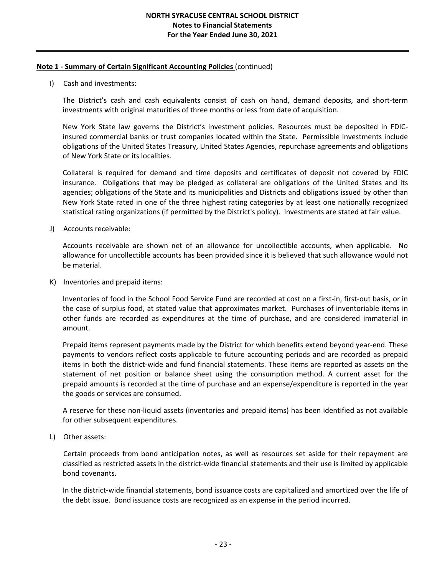#### **Note 1 ‐ Summary of Certain Significant Accounting Policies** (continued)

I) Cash and investments:

The District's cash and cash equivalents consist of cash on hand, demand deposits, and short‐term investments with original maturities of three months or less from date of acquisition.

New York State law governs the District's investment policies. Resources must be deposited in FDIC‐ insured commercial banks or trust companies located within the State. Permissible investments include obligations of the United States Treasury, United States Agencies, repurchase agreements and obligations of New York State or its localities.

Collateral is required for demand and time deposits and certificates of deposit not covered by FDIC insurance. Obligations that may be pledged as collateral are obligations of the United States and its agencies; obligations of the State and its municipalities and Districts and obligations issued by other than New York State rated in one of the three highest rating categories by at least one nationally recognized statistical rating organizations (if permitted by the District's policy). Investments are stated at fair value.

J) Accounts receivable:

Accounts receivable are shown net of an allowance for uncollectible accounts, when applicable. No allowance for uncollectible accounts has been provided since it is believed that such allowance would not be material.

K) Inventories and prepaid items:

Inventories of food in the School Food Service Fund are recorded at cost on a first‐in, first‐out basis, or in the case of surplus food, at stated value that approximates market. Purchases of inventoriable items in other funds are recorded as expenditures at the time of purchase, and are considered immaterial in amount.

Prepaid items represent payments made by the District for which benefits extend beyond year‐end. These payments to vendors reflect costs applicable to future accounting periods and are recorded as prepaid items in both the district-wide and fund financial statements. These items are reported as assets on the statement of net position or balance sheet using the consumption method. A current asset for the prepaid amounts is recorded at the time of purchase and an expense/expenditure is reported in the year the goods or services are consumed.

A reserve for these non‐liquid assets (inventories and prepaid items) has been identified as not available for other subsequent expenditures.

L) Other assets:

Certain proceeds from bond anticipation notes, as well as resources set aside for their repayment are classified as restricted assets in the district‐wide financial statements and their use is limited by applicable bond covenants.

In the district-wide financial statements, bond issuance costs are capitalized and amortized over the life of the debt issue. Bond issuance costs are recognized as an expense in the period incurred.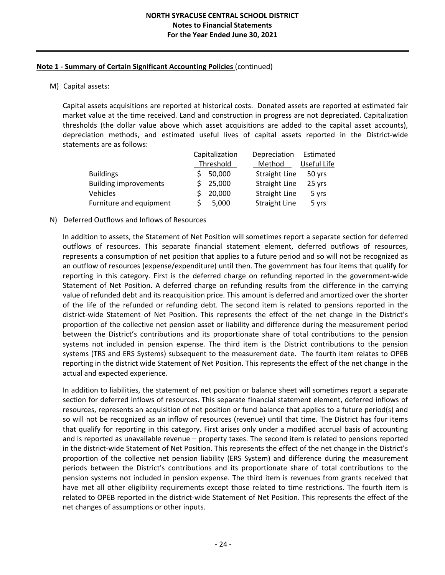#### **Note 1 ‐ Summary of Certain Significant Accounting Policies** (continued)

M) Capital assets:

Capital assets acquisitions are reported at historical costs. Donated assets are reported at estimated fair market value at the time received. Land and construction in progress are not depreciated. Capitalization thresholds (the dollar value above which asset acquisitions are added to the capital asset accounts), depreciation methods, and estimated useful lives of capital assets reported in the District‐wide statements are as follows:

|                              | Capitalization |           | Depreciation         | Estimated   |
|------------------------------|----------------|-----------|----------------------|-------------|
|                              |                | Threshold | Method               | Useful Life |
| <b>Buildings</b>             |                | 50,000    | <b>Straight Line</b> | 50 yrs      |
| <b>Building improvements</b> |                | 25,000    | <b>Straight Line</b> | 25 yrs      |
| Vehicles                     |                | 20,000    | <b>Straight Line</b> | 5 yrs       |
| Furniture and equipment      |                | 5,000     | <b>Straight Line</b> | 5 yrs       |

N) Deferred Outflows and Inflows of Resources

In addition to assets, the Statement of Net Position will sometimes report a separate section for deferred outflows of resources. This separate financial statement element, deferred outflows of resources, represents a consumption of net position that applies to a future period and so will not be recognized as an outflow of resources (expense/expenditure) until then. The government has four items that qualify for reporting in this category. First is the deferred charge on refunding reported in the government‐wide Statement of Net Position. A deferred charge on refunding results from the difference in the carrying value of refunded debt and its reacquisition price. This amount is deferred and amortized over the shorter of the life of the refunded or refunding debt. The second item is related to pensions reported in the district-wide Statement of Net Position. This represents the effect of the net change in the District's proportion of the collective net pension asset or liability and difference during the measurement period between the District's contributions and its proportionate share of total contributions to the pension systems not included in pension expense. The third item is the District contributions to the pension systems (TRS and ERS Systems) subsequent to the measurement date. The fourth item relates to OPEB reporting in the district wide Statement of Net Position. This represents the effect of the net change in the actual and expected experience.

In addition to liabilities, the statement of net position or balance sheet will sometimes report a separate section for deferred inflows of resources. This separate financial statement element, deferred inflows of resources, represents an acquisition of net position or fund balance that applies to a future period(s) and so will not be recognized as an inflow of resources (revenue) until that time. The District has four items that qualify for reporting in this category. First arises only under a modified accrual basis of accounting and is reported as unavailable revenue – property taxes. The second item is related to pensions reported in the district-wide Statement of Net Position. This represents the effect of the net change in the District's proportion of the collective net pension liability (ERS System) and difference during the measurement periods between the District's contributions and its proportionate share of total contributions to the pension systems not included in pension expense. The third item is revenues from grants received that have met all other eligibility requirements except those related to time restrictions. The fourth item is related to OPEB reported in the district-wide Statement of Net Position. This represents the effect of the net changes of assumptions or other inputs.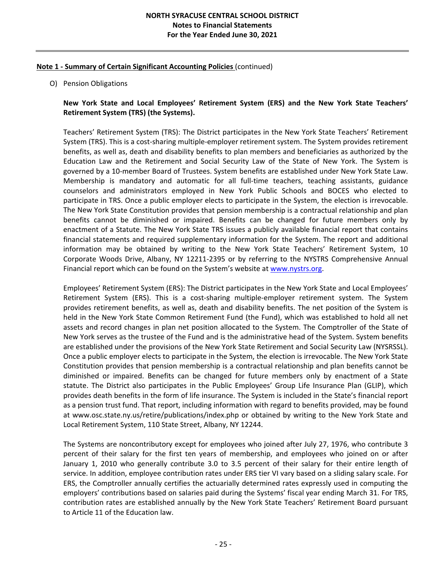#### **Note 1 ‐ Summary of Certain Significant Accounting Policies** (continued)

O) Pension Obligations

### **New York State and Local Employees' Retirement System (ERS) and the New York State Teachers' Retirement System (TRS) (the Systems).**

Teachers' Retirement System (TRS): The District participates in the New York State Teachers' Retirement System (TRS). This is a cost‐sharing multiple‐employer retirement system. The System provides retirement benefits, as well as, death and disability benefits to plan members and beneficiaries as authorized by the Education Law and the Retirement and Social Security Law of the State of New York. The System is governed by a 10‐member Board of Trustees. System benefits are established under New York State Law. Membership is mandatory and automatic for all full-time teachers, teaching assistants, guidance counselors and administrators employed in New York Public Schools and BOCES who elected to participate in TRS. Once a public employer elects to participate in the System, the election is irrevocable. The New York State Constitution provides that pension membership is a contractual relationship and plan benefits cannot be diminished or impaired. Benefits can be changed for future members only by enactment of a Statute. The New York State TRS issues a publicly available financial report that contains financial statements and required supplementary information for the System. The report and additional information may be obtained by writing to the New York State Teachers' Retirement System, 10 Corporate Woods Drive, Albany, NY 12211‐2395 or by referring to the NYSTRS Comprehensive Annual Financial report which can be found on the System's website at www.nystrs.org.

Employees' Retirement System (ERS): The District participates in the New York State and Local Employees' Retirement System (ERS). This is a cost-sharing multiple-employer retirement system. The System provides retirement benefits, as well as, death and disability benefits. The net position of the System is held in the New York State Common Retirement Fund (the Fund), which was established to hold all net assets and record changes in plan net position allocated to the System. The Comptroller of the State of New York serves as the trustee of the Fund and is the administrative head of the System. System benefits are established under the provisions of the New York State Retirement and Social Security Law (NYSRSSL). Once a public employer elects to participate in the System, the election is irrevocable. The New York State Constitution provides that pension membership is a contractual relationship and plan benefits cannot be diminished or impaired. Benefits can be changed for future members only by enactment of a State statute. The District also participates in the Public Employees' Group Life Insurance Plan (GLIP), which provides death benefits in the form of life insurance. The System is included in the State's financial report as a pension trust fund. That report, including information with regard to benefits provided, may be found at www.osc.state.ny.us/retire/publications/index.php or obtained by writing to the New York State and Local Retirement System, 110 State Street, Albany, NY 12244.

The Systems are noncontributory except for employees who joined after July 27, 1976, who contribute 3 percent of their salary for the first ten years of membership, and employees who joined on or after January 1, 2010 who generally contribute 3.0 to 3.5 percent of their salary for their entire length of service. In addition, employee contribution rates under ERS tier VI vary based on a sliding salary scale. For ERS, the Comptroller annually certifies the actuarially determined rates expressly used in computing the employers' contributions based on salaries paid during the Systems' fiscal year ending March 31. For TRS, contribution rates are established annually by the New York State Teachers' Retirement Board pursuant to Article 11 of the Education law.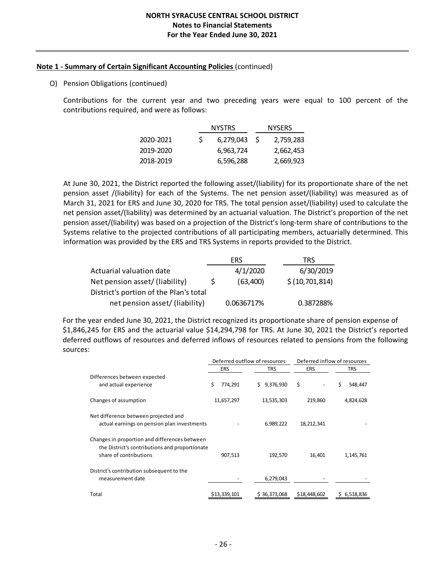#### **Note 1 ‐ Summary of Certain Significant Accounting Policies** (continued)

O) Pension Obligations (continued)

Contributions for the current year and two preceding years were equal to 100 percent of the contributions required, and were as follows:

|           | <b>NYSTRS</b> |     | <b>NYSERS</b> |
|-----------|---------------|-----|---------------|
| 2020-2021 | 6,279,043     | - S | 2,759,283     |
| 2019-2020 | 6,963,724     |     | 2,662,453     |
| 2018-2019 | 6,596,288     |     | 2,669,923     |

At June 30, 2021, the District reported the following asset/(liability) for its proportionate share of the net pension asset /(liability) for each of the Systems. The net pension asset/(liability) was measured as of March 31, 2021 for ERS and June 30, 2020 for TRS. The total pension asset/(liability) used to calculate the net pension asset/(liability) was determined by an actuarial valuation. The District's proportion of the net pension asset/(liability) was based on a projection of the District's long‐term share of contributions to the Systems relative to the projected contributions of all participating members, actuarially determined. This information was provided by the ERS and TRS Systems in reports provided to the District.

|                                        | <b>ERS</b> | TRS              |
|----------------------------------------|------------|------------------|
| Actuarial valuation date               | 4/1/2020   | 6/30/2019        |
| Net pension asset/ (liability)         | (63,400)   | \$(10, 701, 814) |
| District's portion of the Plan's total |            |                  |
| net pension asset/ (liability)         | 0.0636717% | 0.387288%        |

For the year ended June 30, 2021, the District recognized its proportionate share of pension expense of \$1,846,245 for ERS and the actuarial value \$14,294,798 for TRS. At June 30, 2021 the District's reported deferred outflows of resources and deferred inflows of resources related to pensions from the following sources:

|                                                                                                                           |               | Deferred outflow of resources | Deferred inflow of resources |               |  |
|---------------------------------------------------------------------------------------------------------------------------|---------------|-------------------------------|------------------------------|---------------|--|
|                                                                                                                           | <b>ERS</b>    | <b>TRS</b>                    | <b>ERS</b>                   | TRS           |  |
| Differences between expected<br>and actual experience                                                                     | \$<br>774,291 | 9,376,930<br>Ś.               | \$                           | \$<br>548,447 |  |
| Changes of assumption                                                                                                     | 11,657,297    | 13,535,303                    | 219,860                      | 4,824,628     |  |
| Net difference between projected and<br>actual earnings on pension plan investments                                       |               | 6,989,222                     | 18,212,341                   |               |  |
| Changes in proportion and differences between<br>the District's contributions and proportionate<br>share of contributions | 907,513       | 192,570                       | 16,401                       | 1,145,761     |  |
| District's contribution subsequent to the<br>measurement date                                                             |               | 6,279,043                     |                              |               |  |
| Total                                                                                                                     | \$13,339,101  | \$36,373,068                  | \$18,448,602                 | \$6,518,836   |  |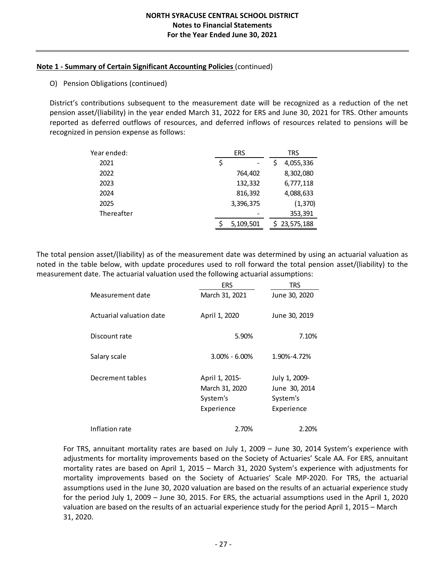#### **Note 1 ‐ Summary of Certain Significant Accounting Policies** (continued)

O) Pension Obligations (continued)

District's contributions subsequent to the measurement date will be recognized as a reduction of the net pension asset/(liability) in the year ended March 31, 2022 for ERS and June 30, 2021 for TRS. Other amounts reported as deferred outflows of resources, and deferred inflows of resources related to pensions will be recognized in pension expense as follows:

| Year ended: | <b>ERS</b> |   | TRS        |
|-------------|------------|---|------------|
| 2021        | \$         | S | 4,055,336  |
| 2022        | 764,402    |   | 8,302,080  |
| 2023        | 132,332    |   | 6,777,118  |
| 2024        | 816,392    |   | 4,088,633  |
| 2025        | 3,396,375  |   | (1,370)    |
| Thereafter  |            |   | 353,391    |
|             | 5,109,501  |   | 23,575,188 |

The total pension asset/(liability) as of the measurement date was determined by using an actuarial valuation as noted in the table below, with update procedures used to roll forward the total pension asset/(liability) to the measurement date. The actuarial valuation used the following actuarial assumptions:

|                          | <b>ERS</b>                                                 | <b>TRS</b>                                               |
|--------------------------|------------------------------------------------------------|----------------------------------------------------------|
| Measurement date         | March 31, 2021                                             | June 30, 2020                                            |
| Actuarial valuation date | April 1, 2020                                              | June 30, 2019                                            |
| Discount rate            | 5.90%                                                      | 7.10%                                                    |
| Salary scale             | $3.00\% - 6.00\%$                                          | 1.90%-4.72%                                              |
| Decrement tables         | April 1, 2015-<br>March 31, 2020<br>System's<br>Experience | July 1, 2009-<br>June 30, 2014<br>System's<br>Experience |
| Inflation rate           | 2.70%                                                      | 2.20%                                                    |

For TRS, annuitant mortality rates are based on July 1, 2009 – June 30, 2014 System's experience with adjustments for mortality improvements based on the Society of Actuaries' Scale AA. For ERS, annuitant mortality rates are based on April 1, 2015 – March 31, 2020 System's experience with adjustments for mortality improvements based on the Society of Actuaries' Scale MP‐2020. For TRS, the actuarial assumptions used in the June 30, 2020 valuation are based on the results of an actuarial experience study for the period July 1, 2009 – June 30, 2015. For ERS, the actuarial assumptions used in the April 1, 2020 valuation are based on the results of an actuarial experience study for the period April 1, 2015 – March 31, 2020.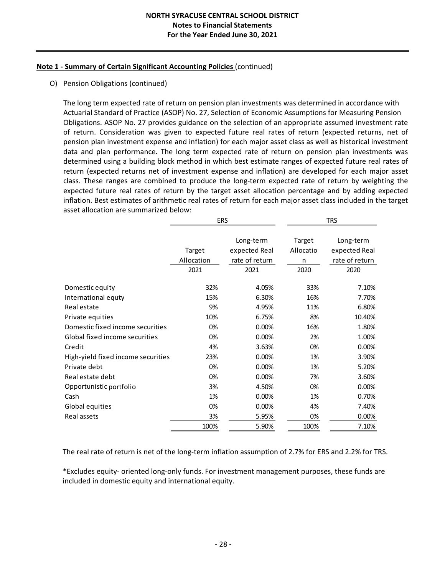#### **Note 1 ‐ Summary of Certain Significant Accounting Policies** (continued)

O) Pension Obligations (continued)

The long term expected rate of return on pension plan investments was determined in accordance with Actuarial Standard of Practice (ASOP) No. 27, Selection of Economic Assumptions for Measuring Pension Obligations. ASOP No. 27 provides guidance on the selection of an appropriate assumed investment rate of return. Consideration was given to expected future real rates of return (expected returns, net of pension plan investment expense and inflation) for each major asset class as well as historical investment data and plan performance. The long term expected rate of return on pension plan investments was determined using a building block method in which best estimate ranges of expected future real rates of return (expected returns net of investment expense and inflation) are developed for each major asset class. These ranges are combined to produce the long‐term expected rate of return by weighting the expected future real rates of return by the target asset allocation percentage and by adding expected inflation. Best estimates of arithmetic real rates of return for each major asset class included in the target asset allocation are summarized below:

|                                    | <b>ERS</b> |                | <b>TRS</b> |                |  |
|------------------------------------|------------|----------------|------------|----------------|--|
|                                    |            |                |            |                |  |
|                                    |            | Long-term      | Target     | Long-term      |  |
|                                    | Target     | expected Real  | Allocatio  | expected Real  |  |
|                                    | Allocation | rate of return | n          | rate of return |  |
|                                    | 2021       | 2021           | 2020       | 2020           |  |
| Domestic equity                    | 32%        | 4.05%          | 33%        | 7.10%          |  |
| International equty                | 15%        | 6.30%          | 16%        | 7.70%          |  |
| Real estate                        | 9%         | 4.95%          | 11%        | 6.80%          |  |
| Private equities                   | 10%        | 6.75%          | 8%         | 10.40%         |  |
| Domestic fixed income securities   | 0%         | $0.00\%$       | 16%        | 1.80%          |  |
| Global fixed income securities     | 0%         | 0.00%          | 2%         | 1.00%          |  |
| Credit                             | 4%         | 3.63%          | 0%         | 0.00%          |  |
| High-yield fixed income securities | 23%        | $0.00\%$       | 1%         | 3.90%          |  |
| Private debt                       | 0%         | 0.00%          | 1%         | 5.20%          |  |
| Real estate debt                   | 0%         | 0.00%          | 7%         | 3.60%          |  |
| Opportunistic portfolio            | 3%         | 4.50%          | 0%         | 0.00%          |  |
| Cash                               | 1%         | 0.00%          | 1%         | 0.70%          |  |
| Global equities                    | 0%         | 0.00%          | 4%         | 7.40%          |  |
| Real assets                        | 3%         | 5.95%          | 0%         | 0.00%          |  |
|                                    | 100%       | 5.90%          | 100%       | 7.10%          |  |

The real rate of return is net of the long-term inflation assumption of 2.7% for ERS and 2.2% for TRS.

\*Excludes equity‐ oriented long‐only funds. For investment management purposes, these funds are included in domestic equity and international equity.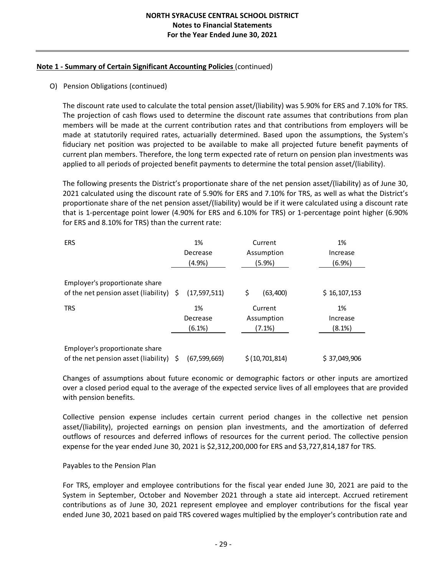#### **Note 1 ‐ Summary of Certain Significant Accounting Policies** (continued)

O) Pension Obligations (continued)

The discount rate used to calculate the total pension asset/(liability) was 5.90% for ERS and 7.10% for TRS. The projection of cash flows used to determine the discount rate assumes that contributions from plan members will be made at the current contribution rates and that contributions from employers will be made at statutorily required rates, actuarially determined. Based upon the assumptions, the System's fiduciary net position was projected to be available to make all projected future benefit payments of current plan members. Therefore, the long term expected rate of return on pension plan investments was applied to all periods of projected benefit payments to determine the total pension asset/(liability).

The following presents the District's proportionate share of the net pension asset/(liability) as of June 30, 2021 calculated using the discount rate of 5.90% for ERS and 7.10% for TRS, as well as what the District's proportionate share of the net pension asset/(liability) would be if it were calculated using a discount rate that is 1‐percentage point lower (4.90% for ERS and 6.10% for TRS) or 1‐percentage point higher (6.90% for ERS and 8.10% for TRS) than the current rate:

| <b>ERS</b>                                                                     |   | 1%<br>Decrease<br>(4.9%)    | Current<br>Assumption<br>(5.9%     | 1%<br>Increase<br>(6.9%) |
|--------------------------------------------------------------------------------|---|-----------------------------|------------------------------------|--------------------------|
| Employer's proportionate share<br>of the net pension asset (liability) $\oint$ |   | (17, 597, 511)              | \$<br>(63, 400)                    | \$16,107,153             |
| <b>TRS</b>                                                                     |   | 1%<br>Decrease<br>$(6.1\%)$ | Current<br>Assumption<br>$(7.1\%)$ | 1%<br>Increase<br>(8.1%) |
| Employer's proportionate share<br>of the net pension asset (liability)         | S | (67,599,669)                | \$(10, 701, 814)                   | \$37.049.906             |

Changes of assumptions about future economic or demographic factors or other inputs are amortized over a closed period equal to the average of the expected service lives of all employees that are provided with pension benefits.

Collective pension expense includes certain current period changes in the collective net pension asset/(liability), projected earnings on pension plan investments, and the amortization of deferred outflows of resources and deferred inflows of resources for the current period. The collective pension expense for the year ended June 30, 2021 is \$2,312,200,000 for ERS and \$3,727,814,187 for TRS.

#### Payables to the Pension Plan

For TRS, employer and employee contributions for the fiscal year ended June 30, 2021 are paid to the System in September, October and November 2021 through a state aid intercept. Accrued retirement contributions as of June 30, 2021 represent employee and employer contributions for the fiscal year ended June 30, 2021 based on paid TRS covered wages multiplied by the employer's contribution rate and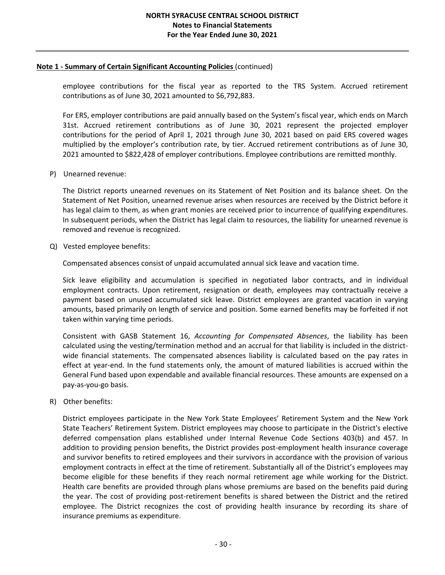#### **Note 1 ‐ Summary of Certain Significant Accounting Policies** (continued)

employee contributions for the fiscal year as reported to the TRS System. Accrued retirement contributions as of June 30, 2021 amounted to \$6,792,883.

For ERS, employer contributions are paid annually based on the System's fiscal year, which ends on March 31st. Accrued retirement contributions as of June 30, 2021 represent the projected employer contributions for the period of April 1, 2021 through June 30, 2021 based on paid ERS covered wages multiplied by the employer's contribution rate, by tier. Accrued retirement contributions as of June 30, 2021 amounted to \$822,428 of employer contributions. Employee contributions are remitted monthly.

#### P) Unearned revenue:

The District reports unearned revenues on its Statement of Net Position and its balance sheet. On the Statement of Net Position, unearned revenue arises when resources are received by the District before it has legal claim to them, as when grant monies are received prior to incurrence of qualifying expenditures. In subsequent periods, when the District has legal claim to resources, the liability for unearned revenue is removed and revenue is recognized.

Q) Vested employee benefits:

Compensated absences consist of unpaid accumulated annual sick leave and vacation time.

Sick leave eligibility and accumulation is specified in negotiated labor contracts, and in individual employment contracts. Upon retirement, resignation or death, employees may contractually receive a payment based on unused accumulated sick leave. District employees are granted vacation in varying amounts, based primarily on length of service and position. Some earned benefits may be forfeited if not taken within varying time periods.

Consistent with GASB Statement 16, *Accounting for Compensated Absences*, the liability has been calculated using the vesting/termination method and an accrual for that liability is included in the district‐ wide financial statements. The compensated absences liability is calculated based on the pay rates in effect at year‐end. In the fund statements only, the amount of matured liabilities is accrued within the General Fund based upon expendable and available financial resources. These amounts are expensed on a pay‐as‐you‐go basis.

R) Other benefits:

District employees participate in the New York State Employees' Retirement System and the New York State Teachers' Retirement System. District employees may choose to participate in the District's elective deferred compensation plans established under Internal Revenue Code Sections 403(b) and 457. In addition to providing pension benefits, the District provides post-employment health insurance coverage and survivor benefits to retired employees and their survivors in accordance with the provision of various employment contracts in effect at the time of retirement. Substantially all of the District's employees may become eligible for these benefits if they reach normal retirement age while working for the District. Health care benefits are provided through plans whose premiums are based on the benefits paid during the year. The cost of providing post‐retirement benefits is shared between the District and the retired employee. The District recognizes the cost of providing health insurance by recording its share of insurance premiums as expenditure.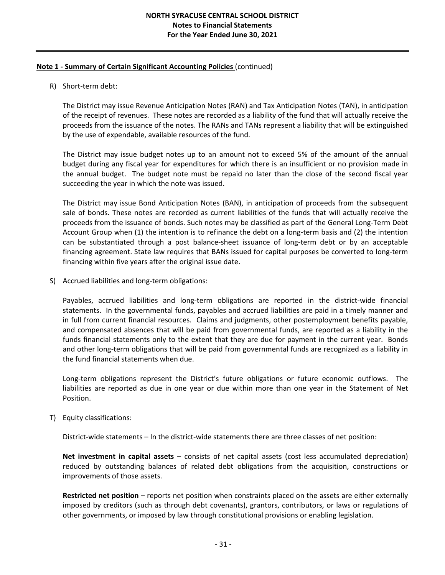#### **Note 1 ‐ Summary of Certain Significant Accounting Policies** (continued)

R) Short‐term debt:

The District may issue Revenue Anticipation Notes (RAN) and Tax Anticipation Notes (TAN), in anticipation of the receipt of revenues. These notes are recorded as a liability of the fund that will actually receive the proceeds from the issuance of the notes. The RANs and TANs represent a liability that will be extinguished by the use of expendable, available resources of the fund.

The District may issue budget notes up to an amount not to exceed 5% of the amount of the annual budget during any fiscal year for expenditures for which there is an insufficient or no provision made in the annual budget. The budget note must be repaid no later than the close of the second fiscal year succeeding the year in which the note was issued.

The District may issue Bond Anticipation Notes (BAN), in anticipation of proceeds from the subsequent sale of bonds. These notes are recorded as current liabilities of the funds that will actually receive the proceeds from the issuance of bonds. Such notes may be classified as part of the General Long‐Term Debt Account Group when (1) the intention is to refinance the debt on a long‐term basis and (2) the intention can be substantiated through a post balance‐sheet issuance of long‐term debt or by an acceptable financing agreement. State law requires that BANs issued for capital purposes be converted to long-term financing within five years after the original issue date.

S) Accrued liabilities and long-term obligations:

Payables, accrued liabilities and long-term obligations are reported in the district-wide financial statements. In the governmental funds, payables and accrued liabilities are paid in a timely manner and in full from current financial resources. Claims and judgments, other postemployment benefits payable, and compensated absences that will be paid from governmental funds, are reported as a liability in the funds financial statements only to the extent that they are due for payment in the current year. Bonds and other long-term obligations that will be paid from governmental funds are recognized as a liability in the fund financial statements when due.

Long-term obligations represent the District's future obligations or future economic outflows. The liabilities are reported as due in one year or due within more than one year in the Statement of Net Position.

T) Equity classifications:

District-wide statements – In the district-wide statements there are three classes of net position:

**Net investment in capital assets** – consists of net capital assets (cost less accumulated depreciation) reduced by outstanding balances of related debt obligations from the acquisition, constructions or improvements of those assets.

**Restricted net position** – reports net position when constraints placed on the assets are either externally imposed by creditors (such as through debt covenants), grantors, contributors, or laws or regulations of other governments, or imposed by law through constitutional provisions or enabling legislation.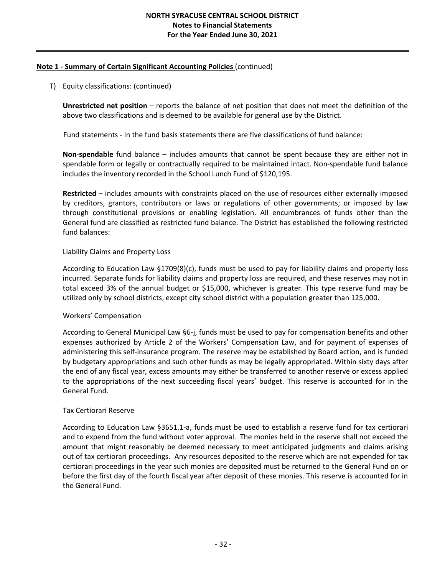#### **Note 1 ‐ Summary of Certain Significant Accounting Policies** (continued)

T) Equity classifications: (continued)

**Unrestricted net position** – reports the balance of net position that does not meet the definition of the above two classifications and is deemed to be available for general use by the District.

Fund statements ‐ In the fund basis statements there are five classifications of fund balance:

**Non‐spendable** fund balance – includes amounts that cannot be spent because they are either not in spendable form or legally or contractually required to be maintained intact. Non-spendable fund balance includes the inventory recorded in the School Lunch Fund of \$120,195.

**Restricted** – includes amounts with constraints placed on the use of resources either externally imposed by creditors, grantors, contributors or laws or regulations of other governments; or imposed by law through constitutional provisions or enabling legislation. All encumbrances of funds other than the General fund are classified as restricted fund balance. The District has established the following restricted fund balances:

#### Liability Claims and Property Loss

According to Education Law §1709(8)(c), funds must be used to pay for liability claims and property loss incurred. Separate funds for liability claims and property loss are required, and these reserves may not in total exceed 3% of the annual budget or \$15,000, whichever is greater. This type reserve fund may be utilized only by school districts, except city school district with a population greater than 125,000.

#### Workers' Compensation

According to General Municipal Law §6‐j, funds must be used to pay for compensation benefits and other expenses authorized by Article 2 of the Workers' Compensation Law, and for payment of expenses of administering this self‐insurance program. The reserve may be established by Board action, and is funded by budgetary appropriations and such other funds as may be legally appropriated. Within sixty days after the end of any fiscal year, excess amounts may either be transferred to another reserve or excess applied to the appropriations of the next succeeding fiscal years' budget. This reserve is accounted for in the General Fund.

#### Tax Certiorari Reserve

According to Education Law §3651.1‐a, funds must be used to establish a reserve fund for tax certiorari and to expend from the fund without voter approval. The monies held in the reserve shall not exceed the amount that might reasonably be deemed necessary to meet anticipated judgments and claims arising out of tax certiorari proceedings. Any resources deposited to the reserve which are not expended for tax certiorari proceedings in the year such monies are deposited must be returned to the General Fund on or before the first day of the fourth fiscal year after deposit of these monies. This reserve is accounted for in the General Fund.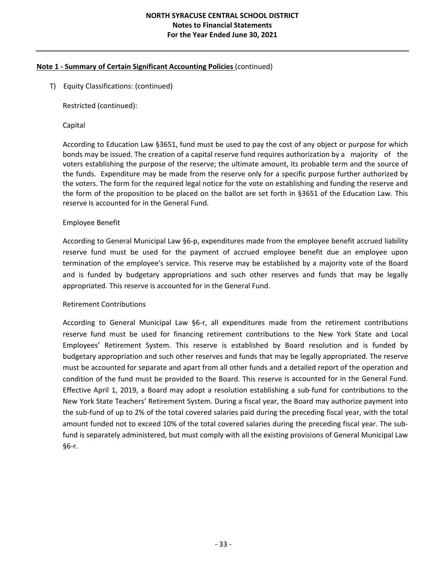#### **Note 1 ‐ Summary of Certain Significant Accounting Policies** (continued)

T) Equity Classifications: (continued)

Restricted (continued):

#### Capital

According to Education Law §3651, fund must be used to pay the cost of any object or purpose for which bonds may be issued. The creation of a capital reserve fund requires authorization by a majority of the voters establishing the purpose of the reserve; the ultimate amount, its probable term and the source of the funds. Expenditure may be made from the reserve only for a specific purpose further authorized by the voters. The form for the required legal notice for the vote on establishing and funding the reserve and the form of the proposition to be placed on the ballot are set forth in §3651 of the Education Law. This reserve is accounted for in the General Fund.

#### Employee Benefit

According to General Municipal Law §6‐p, expenditures made from the employee benefit accrued liability reserve fund must be used for the payment of accrued employee benefit due an employee upon termination of the employee's service. This reserve may be established by a majority vote of the Board and is funded by budgetary appropriations and such other reserves and funds that may be legally appropriated. This reserve is accounted for in the General Fund.

#### Retirement Contributions

According to General Municipal Law §6‐r, all expenditures made from the retirement contributions reserve fund must be used for financing retirement contributions to the New York State and Local Employees' Retirement System. This reserve is established by Board resolution and is funded by budgetary appropriation and such other reserves and funds that may be legally appropriated. The reserve must be accounted for separate and apart from all other funds and a detailed report of the operation and condition of the fund must be provided to the Board. This reserve is accounted for in the General Fund. Effective April 1, 2019, a Board may adopt a resolution establishing a sub‐fund for contributions to the New York State Teachers' Retirement System. During a fiscal year, the Board may authorize payment into the sub-fund of up to 2% of the total covered salaries paid during the preceding fiscal year, with the total amount funded not to exceed 10% of the total covered salaries during the preceding fiscal year. The subfund is separately administered, but must comply with all the existing provisions of General Municipal Law §6‐r.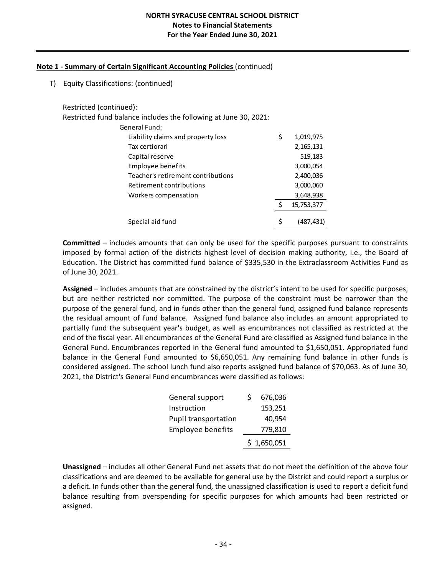#### **Note 1 ‐ Summary of Certain Significant Accounting Policies** (continued)

T) Equity Classifications: (continued)

Restricted (continued):

Restricted fund balance includes the following at June 30, 2021:

| General Fund:                      |    |            |
|------------------------------------|----|------------|
| Liability claims and property loss | \$ | 1,019,975  |
| Tax certiorari                     |    | 2,165,131  |
| Capital reserve                    |    | 519,183    |
| <b>Employee benefits</b>           |    | 3,000,054  |
| Teacher's retirement contributions |    | 2,400,036  |
| Retirement contributions           |    | 3,000,060  |
| Workers compensation               |    | 3,648,938  |
|                                    |    | 15,753,377 |
|                                    |    |            |
| Special aid fund                   | S  | (487.431)  |

**Committed** – includes amounts that can only be used for the specific purposes pursuant to constraints imposed by formal action of the districts highest level of decision making authority, i.e., the Board of Education. The District has committed fund balance of \$335,530 in the Extraclassroom Activities Fund as of June 30, 2021.

**Assigned** – includes amounts that are constrained by the district's intent to be used for specific purposes, but are neither restricted nor committed. The purpose of the constraint must be narrower than the purpose of the general fund, and in funds other than the general fund, assigned fund balance represents the residual amount of fund balance. Assigned fund balance also includes an amount appropriated to partially fund the subsequent year's budget, as well as encumbrances not classified as restricted at the end of the fiscal year. All encumbrances of the General Fund are classified as Assigned fund balance in the General Fund. Encumbrances reported in the General fund amounted to \$1,650,051. Appropriated fund balance in the General Fund amounted to \$6,650,051. Any remaining fund balance in other funds is considered assigned. The school lunch fund also reports assigned fund balance of \$70,063. As of June 30, 2021, the District's General Fund encumbrances were classified as follows:

| General support          | S | 676,036     |
|--------------------------|---|-------------|
| Instruction              |   | 153,251     |
| Pupil transportation     |   | 40,954      |
| <b>Employee benefits</b> |   | 779,810     |
|                          |   | \$1,650,051 |

**Unassigned** – includes all other General Fund net assets that do not meet the definition of the above four classifications and are deemed to be available for general use by the District and could report a surplus or a deficit. In funds other than the general fund, the unassigned classification is used to report a deficit fund balance resulting from overspending for specific purposes for which amounts had been restricted or assigned.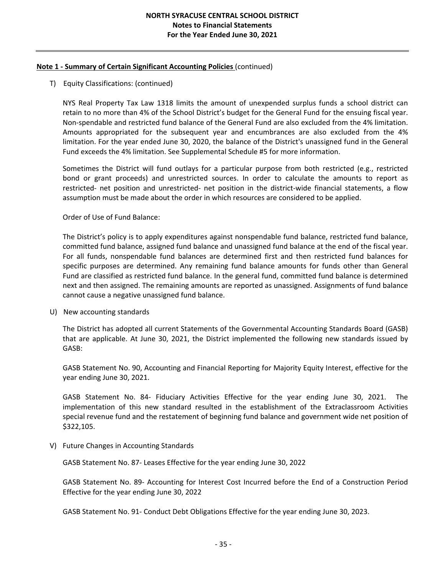#### **Note 1 ‐ Summary of Certain Significant Accounting Policies** (continued)

T) Equity Classifications: (continued)

NYS Real Property Tax Law 1318 limits the amount of unexpended surplus funds a school district can retain to no more than 4% of the School District's budget for the General Fund for the ensuing fiscal year. Non‐spendable and restricted fund balance of the General Fund are also excluded from the 4% limitation. Amounts appropriated for the subsequent year and encumbrances are also excluded from the 4% limitation. For the year ended June 30, 2020, the balance of the District's unassigned fund in the General Fund exceeds the 4% limitation. See Supplemental Schedule #5 for more information.

Sometimes the District will fund outlays for a particular purpose from both restricted (e.g., restricted bond or grant proceeds) and unrestricted sources. In order to calculate the amounts to report as restricted‐ net position and unrestricted‐ net position in the district‐wide financial statements, a flow assumption must be made about the order in which resources are considered to be applied.

Order of Use of Fund Balance:

The District's policy is to apply expenditures against nonspendable fund balance, restricted fund balance, committed fund balance, assigned fund balance and unassigned fund balance at the end of the fiscal year. For all funds, nonspendable fund balances are determined first and then restricted fund balances for specific purposes are determined. Any remaining fund balance amounts for funds other than General Fund are classified as restricted fund balance. In the general fund, committed fund balance is determined next and then assigned. The remaining amounts are reported as unassigned. Assignments of fund balance cannot cause a negative unassigned fund balance.

U) New accounting standards

The District has adopted all current Statements of the Governmental Accounting Standards Board (GASB) that are applicable. At June 30, 2021, the District implemented the following new standards issued by GASB:

GASB Statement No. 90, Accounting and Financial Reporting for Majority Equity Interest, effective for the year ending June 30, 2021.

GASB Statement No. 84‐ Fiduciary Activities Effective for the year ending June 30, 2021. The implementation of this new standard resulted in the establishment of the Extraclassroom Activities special revenue fund and the restatement of beginning fund balance and government wide net position of \$322,105.

V) Future Changes in Accounting Standards

GASB Statement No. 87‐ Leases Effective for the year ending June 30, 2022

GASB Statement No. 89‐ Accounting for Interest Cost Incurred before the End of a Construction Period Effective for the year ending June 30, 2022

GASB Statement No. 91‐ Conduct Debt Obligations Effective for the year ending June 30, 2023.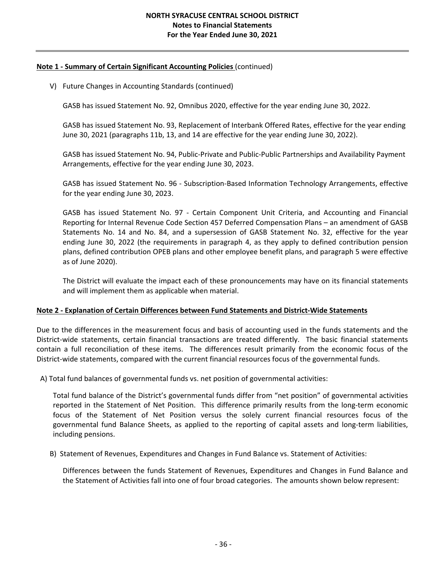#### **Note 1 ‐ Summary of Certain Significant Accounting Policies** (continued)

V) Future Changes in Accounting Standards (continued)

GASB has issued Statement No. 92, Omnibus 2020, effective for the year ending June 30, 2022.

GASB has issued Statement No. 93, Replacement of Interbank Offered Rates, effective for the year ending June 30, 2021 (paragraphs 11b, 13, and 14 are effective for the year ending June 30, 2022).

GASB has issued Statement No. 94, Public-Private and Public-Public Partnerships and Availability Payment Arrangements, effective for the year ending June 30, 2023.

GASB has issued Statement No. 96 ‐ Subscription‐Based Information Technology Arrangements, effective for the year ending June 30, 2023.

GASB has issued Statement No. 97 ‐ Certain Component Unit Criteria, and Accounting and Financial Reporting for Internal Revenue Code Section 457 Deferred Compensation Plans – an amendment of GASB Statements No. 14 and No. 84, and a supersession of GASB Statement No. 32, effective for the year ending June 30, 2022 (the requirements in paragraph 4, as they apply to defined contribution pension plans, defined contribution OPEB plans and other employee benefit plans, and paragraph 5 were effective as of June 2020).

The District will evaluate the impact each of these pronouncements may have on its financial statements and will implement them as applicable when material.

#### **Note 2 ‐ Explanation of Certain Differences between Fund Statements and District‐Wide Statements**

Due to the differences in the measurement focus and basis of accounting used in the funds statements and the District-wide statements, certain financial transactions are treated differently. The basic financial statements contain a full reconciliation of these items. The differences result primarily from the economic focus of the District-wide statements, compared with the current financial resources focus of the governmental funds.

A) Total fund balances of governmental funds vs. net position of governmental activities:

Total fund balance of the District's governmental funds differ from "net position" of governmental activities reported in the Statement of Net Position. This difference primarily results from the long-term economic focus of the Statement of Net Position versus the solely current financial resources focus of the governmental fund Balance Sheets, as applied to the reporting of capital assets and long-term liabilities, including pensions.

B) Statement of Revenues, Expenditures and Changes in Fund Balance vs. Statement of Activities:

Differences between the funds Statement of Revenues, Expenditures and Changes in Fund Balance and the Statement of Activities fall into one of four broad categories. The amounts shown below represent: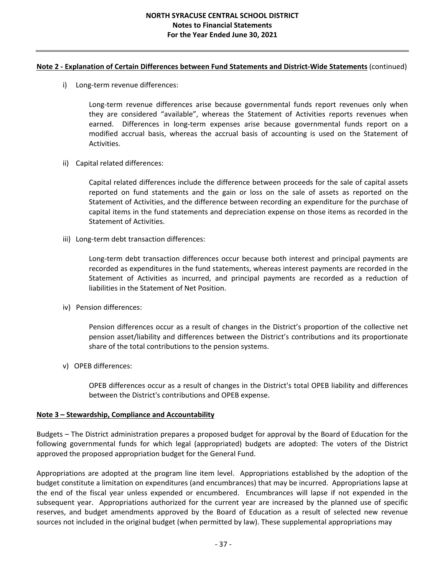#### **Note 2 ‐ Explanation of Certain Differences between Fund Statements and District‐Wide Statements** (continued)

i) Long-term revenue differences:

Long-term revenue differences arise because governmental funds report revenues only when they are considered "available", whereas the Statement of Activities reports revenues when earned. Differences in long-term expenses arise because governmental funds report on a modified accrual basis, whereas the accrual basis of accounting is used on the Statement of Activities.

ii) Capital related differences:

Capital related differences include the difference between proceeds for the sale of capital assets reported on fund statements and the gain or loss on the sale of assets as reported on the Statement of Activities, and the difference between recording an expenditure for the purchase of capital items in the fund statements and depreciation expense on those items as recorded in the Statement of Activities.

iii) Long-term debt transaction differences:

Long-term debt transaction differences occur because both interest and principal payments are recorded as expenditures in the fund statements, whereas interest payments are recorded in the Statement of Activities as incurred, and principal payments are recorded as a reduction of liabilities in the Statement of Net Position.

iv) Pension differences:

Pension differences occur as a result of changes in the District's proportion of the collective net pension asset/liability and differences between the District's contributions and its proportionate share of the total contributions to the pension systems.

v) OPEB differences:

OPEB differences occur as a result of changes in the District's total OPEB liability and differences between the District's contributions and OPEB expense.

#### **Note 3 – Stewardship, Compliance and Accountability**

Budgets – The District administration prepares a proposed budget for approval by the Board of Education for the following governmental funds for which legal (appropriated) budgets are adopted: The voters of the District approved the proposed appropriation budget for the General Fund.

Appropriations are adopted at the program line item level. Appropriations established by the adoption of the budget constitute a limitation on expenditures (and encumbrances) that may be incurred. Appropriations lapse at the end of the fiscal year unless expended or encumbered. Encumbrances will lapse if not expended in the subsequent year. Appropriations authorized for the current year are increased by the planned use of specific reserves, and budget amendments approved by the Board of Education as a result of selected new revenue sources not included in the original budget (when permitted by law). These supplemental appropriations may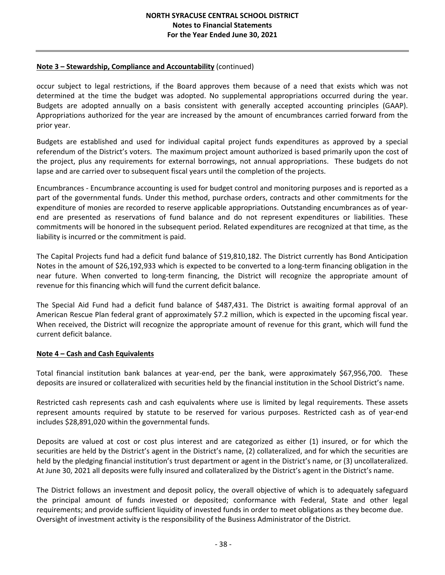#### **Note 3 – Stewardship, Compliance and Accountability** (continued)

occur subject to legal restrictions, if the Board approves them because of a need that exists which was not determined at the time the budget was adopted. No supplemental appropriations occurred during the year. Budgets are adopted annually on a basis consistent with generally accepted accounting principles (GAAP). Appropriations authorized for the year are increased by the amount of encumbrances carried forward from the prior year.

Budgets are established and used for individual capital project funds expenditures as approved by a special referendum of the District's voters. The maximum project amount authorized is based primarily upon the cost of the project, plus any requirements for external borrowings, not annual appropriations. These budgets do not lapse and are carried over to subsequent fiscal years until the completion of the projects.

Encumbrances ‐ Encumbrance accounting is used for budget control and monitoring purposes and is reported as a part of the governmental funds. Under this method, purchase orders, contracts and other commitments for the expenditure of monies are recorded to reserve applicable appropriations. Outstanding encumbrances as of yearend are presented as reservations of fund balance and do not represent expenditures or liabilities. These commitments will be honored in the subsequent period. Related expenditures are recognized at that time, as the liability is incurred or the commitment is paid.

The Capital Projects fund had a deficit fund balance of \$19,810,182. The District currently has Bond Anticipation Notes in the amount of \$26,192,933 which is expected to be converted to a long‐term financing obligation in the near future. When converted to long-term financing, the District will recognize the appropriate amount of revenue for this financing which will fund the current deficit balance.

The Special Aid Fund had a deficit fund balance of \$487,431. The District is awaiting formal approval of an American Rescue Plan federal grant of approximately \$7.2 million, which is expected in the upcoming fiscal year. When received, the District will recognize the appropriate amount of revenue for this grant, which will fund the current deficit balance.

#### **Note 4 – Cash and Cash Equivalents**

Total financial institution bank balances at year-end, per the bank, were approximately \$67,956,700. These deposits are insured or collateralized with securities held by the financial institution in the School District's name.

Restricted cash represents cash and cash equivalents where use is limited by legal requirements. These assets represent amounts required by statute to be reserved for various purposes. Restricted cash as of year-end includes \$28,891,020 within the governmental funds.

Deposits are valued at cost or cost plus interest and are categorized as either (1) insured, or for which the securities are held by the District's agent in the District's name, (2) collateralized, and for which the securities are held by the pledging financial institution's trust department or agent in the District's name, or (3) uncollateralized. At June 30, 2021 all deposits were fully insured and collateralized by the District's agent in the District's name.

The District follows an investment and deposit policy, the overall objective of which is to adequately safeguard the principal amount of funds invested or deposited; conformance with Federal, State and other legal requirements; and provide sufficient liquidity of invested funds in order to meet obligations as they become due. Oversight of investment activity is the responsibility of the Business Administrator of the District.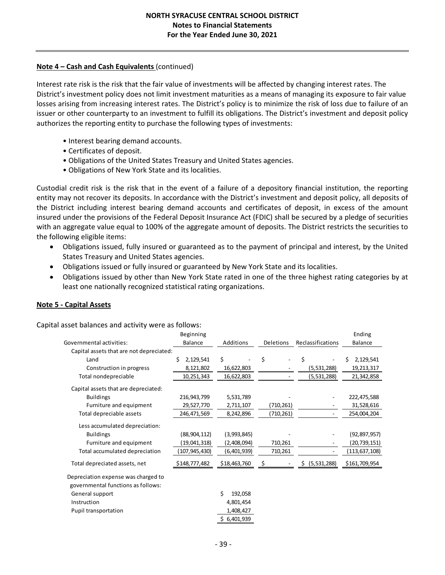#### **Note 4 – Cash and Cash Equivalents** (continued)

Interest rate risk is the risk that the fair value of investments will be affected by changing interest rates. The District's investment policy does not limit investment maturities as a means of managing its exposure to fair value losses arising from increasing interest rates. The District's policy is to minimize the risk of loss due to failure of an issuer or other counterparty to an investment to fulfill its obligations. The District's investment and deposit policy authorizes the reporting entity to purchase the following types of investments:

- Interest bearing demand accounts.
- Certificates of deposit.
- Obligations of the United States Treasury and United States agencies.
- Obligations of New York State and its localities.

Custodial credit risk is the risk that in the event of a failure of a depository financial institution, the reporting entity may not recover its deposits. In accordance with the District's investment and deposit policy, all deposits of the District including interest bearing demand accounts and certificates of deposit, in excess of the amount insured under the provisions of the Federal Deposit Insurance Act (FDIC) shall be secured by a pledge of securities with an aggregate value equal to 100% of the aggregate amount of deposits. The District restricts the securities to the following eligible items:

- Obligations issued, fully insured or guaranteed as to the payment of principal and interest, by the United States Treasury and United States agencies.
- Obligations issued or fully insured or guaranteed by New York State and its localities.
- Obligations issued by other than New York State rated in one of the three highest rating categories by at least one nationally recognized statistical rating organizations.

#### **Note 5 ‐ Capital Assets**

Capital asset balances and activity were as follows:

|                                          |    | Beginning     |    |              |    |            |    |                   |    | Ending          |
|------------------------------------------|----|---------------|----|--------------|----|------------|----|-------------------|----|-----------------|
| Governmental activities:                 |    | Balance       |    | Additions    |    | Deletions  |    | Reclassifications |    | Balance         |
| Capital assets that are not depreciated: |    |               |    |              |    |            |    |                   |    |                 |
| Land                                     | Ś. | 2,129,541     | Ś. |              | Ś  |            | \$ |                   | Ś. | 2,129,541       |
| Construction in progress                 |    | 8,121,802     |    | 16,622,803   |    |            |    | (5,531,288)       |    | 19,213,317      |
| Total nondepreciable                     |    | 10,251,343    |    | 16,622,803   |    |            |    | (5,531,288)       |    | 21,342,858      |
| Capital assets that are depreciated:     |    |               |    |              |    |            |    |                   |    |                 |
| <b>Buildings</b>                         |    | 216,943,799   |    | 5,531,789    |    |            |    |                   |    | 222,475,588     |
| Furniture and equipment                  |    | 29,527,770    |    | 2,711,107    |    | (710, 261) |    |                   |    | 31,528,616      |
| Total depreciable assets                 |    | 246,471,569   |    | 8,242,896    |    | (710,261)  |    |                   |    | 254,004,204     |
| Less accumulated depreciation:           |    |               |    |              |    |            |    |                   |    |                 |
| <b>Buildings</b>                         |    | (88,904,112)  |    | (3,993,845)  |    |            |    |                   |    | (92, 897, 957)  |
| Furniture and equipment                  |    | (19,041,318)  |    | (2,408,094)  |    | 710,261    |    |                   |    | (20,739,151)    |
| Total accumulated depreciation           |    | (107,945,430) |    | (6,401,939)  |    | 710,261    |    |                   |    | (113, 637, 108) |
| Total depreciated assets, net            |    | \$148,777,482 |    | \$18,463,760 | \$ |            | S. | (5,531,288)       |    | \$161,709,954   |
| Depreciation expense was charged to      |    |               |    |              |    |            |    |                   |    |                 |
| governmental functions as follows:       |    |               |    |              |    |            |    |                   |    |                 |
| General support                          |    |               | Ś  | 192,058      |    |            |    |                   |    |                 |
| Instruction                              |    |               |    | 4,801,454    |    |            |    |                   |    |                 |
| Pupil transportation                     |    |               |    | 1,408,427    |    |            |    |                   |    |                 |
|                                          |    |               |    | \$6,401,939  |    |            |    |                   |    |                 |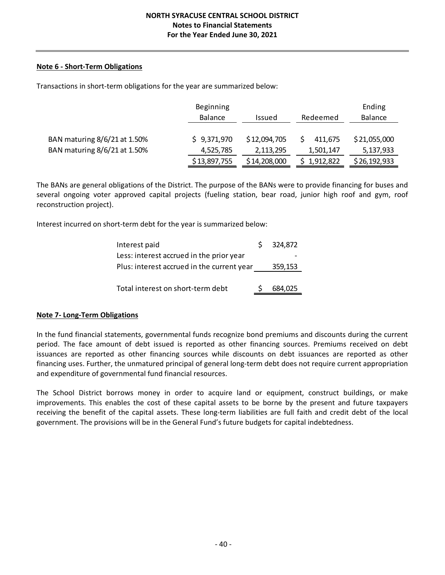#### **Note 6 ‐ Short‐Term Obligations**

Transactions in short‐term obligations for the year are summarized below:

|                              | <b>Beginning</b> |               |             | Ending         |
|------------------------------|------------------|---------------|-------------|----------------|
|                              | <b>Balance</b>   | <b>Issued</b> | Redeemed    | <b>Balance</b> |
|                              |                  |               |             |                |
| BAN maturing 8/6/21 at 1.50% | \$9,371,970      | \$12,094,705  | 411,675     | \$21,055,000   |
| BAN maturing 8/6/21 at 1.50% | 4,525,785        | 2,113,295     | 1,501,147   | 5,137,933      |
|                              | \$13,897,755     | \$14,208,000  | \$1,912,822 | \$26, 192, 933 |

The BANs are general obligations of the District. The purpose of the BANs were to provide financing for buses and several ongoing voter approved capital projects (fueling station, bear road, junior high roof and gym, roof reconstruction project).

Interest incurred on short‐term debt for the year is summarized below:

| Interest paid                              | \$324,872 |
|--------------------------------------------|-----------|
| Less: interest accrued in the prior year   |           |
| Plus: interest accrued in the current year | 359,153   |
|                                            |           |
| Total interest on short-term debt          | 684,025   |

#### **Note 7‐ Long‐Term Obligations**

In the fund financial statements, governmental funds recognize bond premiums and discounts during the current period. The face amount of debt issued is reported as other financing sources. Premiums received on debt issuances are reported as other financing sources while discounts on debt issuances are reported as other financing uses. Further, the unmatured principal of general long-term debt does not require current appropriation and expenditure of governmental fund financial resources.

The School District borrows money in order to acquire land or equipment, construct buildings, or make improvements. This enables the cost of these capital assets to be borne by the present and future taxpayers receiving the benefit of the capital assets. These long‐term liabilities are full faith and credit debt of the local government. The provisions will be in the General Fund's future budgets for capital indebtedness.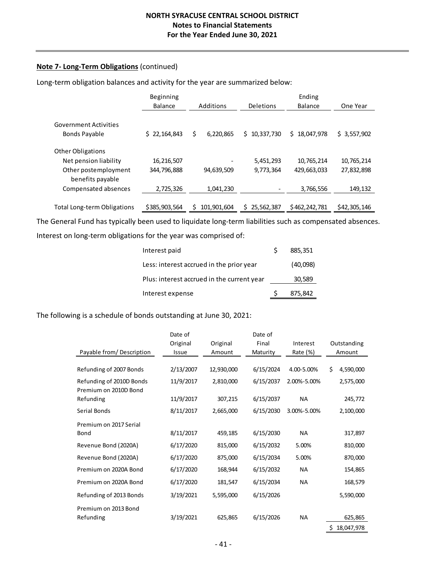#### **Note 7‐ Long‐Term Obligations** (continued)

Long-term obligation balances and activity for the year are summarized below:

|                                               | Beginning      |    |             |                  | Ending        |              |
|-----------------------------------------------|----------------|----|-------------|------------------|---------------|--------------|
|                                               | <b>Balance</b> |    | Additions   | <b>Deletions</b> | Balance       | One Year     |
| <b>Government Activities</b><br>Bonds Payable | \$22,164,843   | \$ | 6,220,865   | 10,337,730<br>Ś. | \$18,047,978  | \$3,557,902  |
| <b>Other Obligations</b>                      |                |    |             |                  |               |              |
| Net pension liability                         | 16,216,507     |    |             | 5,451,293        | 10,765,214    | 10,765,214   |
| Other postemployment<br>benefits payable      | 344,796,888    |    | 94,639,509  | 9,773,364        | 429,663,033   | 27,832,898   |
| Compensated absences                          | 2,725,326      |    | 1,041,230   |                  | 3,766,556     | 149,132      |
| <b>Total Long-term Obligations</b>            | \$385,903,564  | S  | 101.901.604 | 25,562,387<br>S. | \$462,242,781 | \$42,305,146 |

The General Fund has typically been used to liquidate long‐term liabilities such as compensated absences. Interest on long-term obligations for the year was comprised of:

| Interest paid                              | S. | 885,351  |
|--------------------------------------------|----|----------|
| Less: interest accrued in the prior year   |    | (40,098) |
| Plus: interest accrued in the current year |    | 30,589   |
| Interest expense                           |    | 875,842  |

The following is a schedule of bonds outstanding at June 30, 2021:

|                                                   | Date of   |            | Date of   |             |                   |
|---------------------------------------------------|-----------|------------|-----------|-------------|-------------------|
|                                                   | Original  | Original   | Final     | Interest    | Outstanding       |
| Payable from/Description                          | Issue     | Amount     | Maturity  | Rate (%)    | Amount            |
|                                                   |           |            |           |             |                   |
| Refunding of 2007 Bonds                           | 2/13/2007 | 12,930,000 | 6/15/2024 | 4.00-5.00%  | Ś.<br>4,590,000   |
| Refunding of 2010D Bonds<br>Premium on 2010D Bond | 11/9/2017 | 2,810,000  | 6/15/2037 | 2.00%-5.00% | 2,575,000         |
| Refunding                                         | 11/9/2017 | 307,215    | 6/15/2037 | NA.         | 245,772           |
| Serial Bonds                                      | 8/11/2017 | 2,665,000  | 6/15/2030 | 3.00%-5.00% | 2,100,000         |
| Premium on 2017 Serial                            |           |            |           |             |                   |
| Bond                                              | 8/11/2017 | 459,185    | 6/15/2030 | NA.         | 317,897           |
| Revenue Bond (2020A)                              | 6/17/2020 | 815,000    | 6/15/2032 | 5.00%       | 810,000           |
| Revenue Bond (2020A)                              | 6/17/2020 | 875,000    | 6/15/2034 | 5.00%       | 870,000           |
| Premium on 2020A Bond                             | 6/17/2020 | 168,944    | 6/15/2032 | NA.         | 154,865           |
| Premium on 2020A Bond                             | 6/17/2020 | 181,547    | 6/15/2034 | <b>NA</b>   | 168,579           |
| Refunding of 2013 Bonds                           | 3/19/2021 | 5,595,000  | 6/15/2026 |             | 5,590,000         |
| Premium on 2013 Bond                              |           |            |           |             |                   |
| Refunding                                         | 3/19/2021 | 625,865    | 6/15/2026 | <b>NA</b>   | 625,865           |
|                                                   |           |            |           |             | 18,047,978<br>\$. |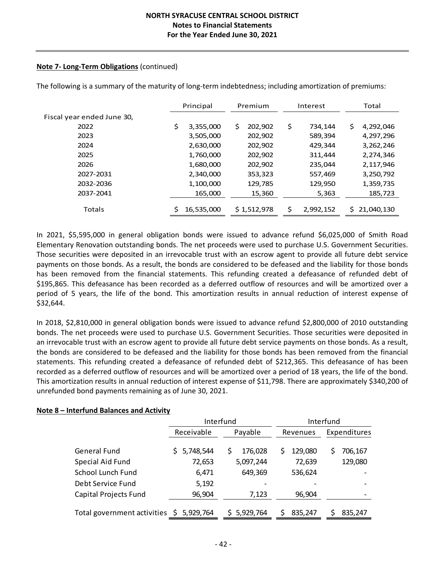#### **Note 7‐ Long‐Term Obligations** (continued)

|                            | Principal       |     | Premium     |    | Interest  |    | Total      |
|----------------------------|-----------------|-----|-------------|----|-----------|----|------------|
| Fiscal year ended June 30, |                 |     |             |    |           |    |            |
| 2022                       | \$<br>3,355,000 | \$. | 202,902     | \$ | 734,144   | \$ | 4,292,046  |
| 2023                       | 3,505,000       |     | 202,902     |    | 589,394   |    | 4,297,296  |
| 2024                       | 2,630,000       |     | 202,902     |    | 429,344   |    | 3,262,246  |
| 2025                       | 1,760,000       |     | 202,902     |    | 311,444   |    | 2,274,346  |
| 2026                       | 1,680,000       |     | 202,902     |    | 235,044   |    | 2,117,946  |
| 2027-2031                  | 2,340,000       |     | 353,323     |    | 557,469   |    | 3,250,792  |
| 2032-2036                  | 1,100,000       |     | 129,785     |    | 129,950   |    | 1,359,735  |
| 2037-2041                  | 165,000         |     | 15,360      |    | 5,363     |    | 185,723    |
| <b>Totals</b>              | 16,535,000      |     | \$1,512,978 | Ś  | 2,992,152 | Ś. | 21,040,130 |

The following is a summary of the maturity of long-term indebtedness; including amortization of premiums:

In 2021, \$5,595,000 in general obligation bonds were issued to advance refund \$6,025,000 of Smith Road Elementary Renovation outstanding bonds. The net proceeds were used to purchase U.S. Government Securities. Those securities were deposited in an irrevocable trust with an escrow agent to provide all future debt service payments on those bonds. As a result, the bonds are considered to be defeased and the liability for those bonds has been removed from the financial statements. This refunding created a defeasance of refunded debt of \$195,865. This defeasance has been recorded as a deferred outflow of resources and will be amortized over a period of 5 years, the life of the bond. This amortization results in annual reduction of interest expense of \$32,644.

In 2018, \$2,810,000 in general obligation bonds were issued to advance refund \$2,800,000 of 2010 outstanding bonds. The net proceeds were used to purchase U.S. Government Securities. Those securities were deposited in an irrevocable trust with an escrow agent to provide all future debt service payments on those bonds. As a result, the bonds are considered to be defeased and the liability for those bonds has been removed from the financial statements. This refunding created a defeasance of refunded debt of \$212,365. This defeasance of has been recorded as a deferred outflow of resources and will be amortized over a period of 18 years, the life of the bond. This amortization results in annual reduction of interest expense of \$11,798. There are approximately \$340,200 of unrefunded bond payments remaining as of June 30, 2021.

#### **Note 8 – Interfund Balances and Activity**

|                                          |             | Interfund       | Interfund    |              |  |
|------------------------------------------|-------------|-----------------|--------------|--------------|--|
|                                          | Receivable  | Payable         | Revenues     | Expenditures |  |
| <b>General Fund</b>                      | \$5,748,544 | 176,028         | 129,080<br>S | 706,167<br>S |  |
| Special Aid Fund                         | 72,653      | 5,097,244       | 72,639       | 129,080      |  |
| School Lunch Fund                        | 6,471       | 649,369         | 536,624      |              |  |
| Debt Service Fund                        | 5,192       |                 |              |              |  |
| Capital Projects Fund                    | 96,904      | 7,123           | 96,904       |              |  |
| Total government activities \$ 5,929,764 |             | 5,929,764<br>S. | 835,247      | 835,247      |  |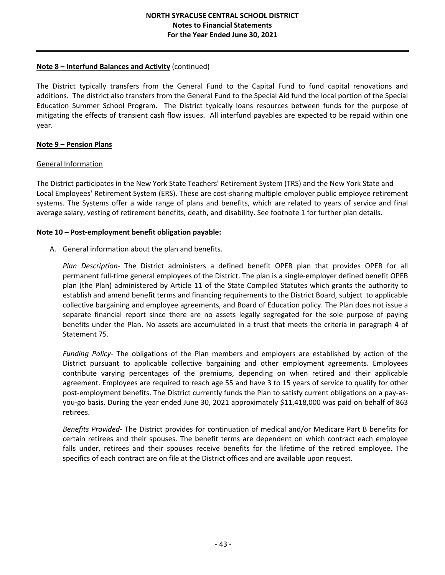#### **Note 8 – Interfund Balances and Activity** (continued)

The District typically transfers from the General Fund to the Capital Fund to fund capital renovations and additions. The district also transfers from the General Fund to the Special Aid fund the local portion of the Special Education Summer School Program. The District typically loans resources between funds for the purpose of mitigating the effects of transient cash flow issues. All interfund payables are expected to be repaid within one year.

#### **Note 9 – Pension Plans**

#### General Information

The District participates in the New York State Teachers' Retirement System (TRS) and the New York State and Local Employees' Retirement System (ERS). These are cost-sharing multiple employer public employee retirement systems. The Systems offer a wide range of plans and benefits, which are related to years of service and final average salary, vesting of retirement benefits, death, and disability. See footnote 1 for further plan details.

#### **Note 10 – Post‐employment benefit obligation payable:**

A. General information about the plan and benefits.

*Plan Description*‐ The District administers a defined benefit OPEB plan that provides OPEB for all permanent full-time general employees of the District. The plan is a single-employer defined benefit OPEB plan (the Plan) administered by Article 11 of the State Compiled Statutes which grants the authority to establish and amend benefit terms and financing requirements to the District Board, subject to applicable collective bargaining and employee agreements, and Board of Education policy. The Plan does not issue a separate financial report since there are no assets legally segregated for the sole purpose of paying benefits under the Plan. No assets are accumulated in a trust that meets the criteria in paragraph 4 of Statement 75.

*Funding Policy‐*  The obligations of the Plan members and employers are established by action of the District pursuant to applicable collective bargaining and other employment agreements. Employees contribute varying percentages of the premiums, depending on when retired and their applicable agreement. Employees are required to reach age 55 and have 3 to 15 years of service to qualify for other post-employment benefits. The District currently funds the Plan to satisfy current obligations on a pay-asyou‐go basis. During the year ended June 30, 2021 approximately \$11,418,000 was paid on behalf of 863 retirees.

*Benefits Provided*‐ The District provides for continuation of medical and/or Medicare Part B benefits for certain retirees and their spouses. The benefit terms are dependent on which contract each employee falls under, retirees and their spouses receive benefits for the lifetime of the retired employee. The specifics of each contract are on file at the District offices and are available upon request.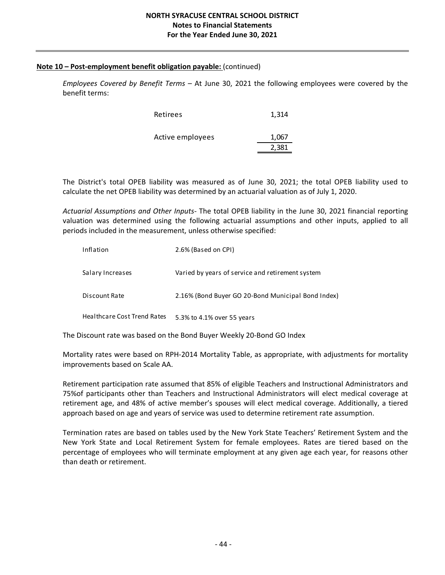#### **Note 10 – Post‐employment benefit obligation payable:** (continued)

*Employees Covered by Benefit Terms* – At June 30, 2021 the following employees were covered by the benefit terms:

| Retirees         | 1,314 |
|------------------|-------|
| Active employees | 1,067 |
|                  | 2,381 |
|                  |       |

The District's total OPEB liability was measured as of June 30, 2021; the total OPEB liability used to calculate the net OPEB liability was determined by an actuarial valuation as of July 1, 2020.

*Actuarial Assumptions and Other Inputs‐* The total OPEB liability in the June 30, 2021 financial reporting valuation was determined using the following actuarial assumptions and other inputs, applied to all periods included in the measurement, unless otherwise specified:

| Inflation                          | 2.6% (Based on CPI)                                |
|------------------------------------|----------------------------------------------------|
| Salary Increases                   | Varied by years of service and retirement system   |
| Discount Rate                      | 2.16% (Bond Buyer GO 20-Bond Municipal Bond Index) |
| <b>Healthcare Cost Trend Rates</b> | 5.3% to 4.1% over 55 years                         |

The Discount rate was based on the Bond Buyer Weekly 20‐Bond GO Index

Mortality rates were based on RPH‐2014 Mortality Table, as appropriate, with adjustments for mortality improvements based on Scale AA.

Retirement participation rate assumed that 85% of eligible Teachers and Instructional Administrators and 75%of participants other than Teachers and Instructional Administrators will elect medical coverage at retirement age, and 48% of active member's spouses will elect medical coverage. Additionally, a tiered approach based on age and years of service was used to determine retirement rate assumption.

Termination rates are based on tables used by the New York State Teachers' Retirement System and the New York State and Local Retirement System for female employees. Rates are tiered based on the percentage of employees who will terminate employment at any given age each year, for reasons other than death or retirement.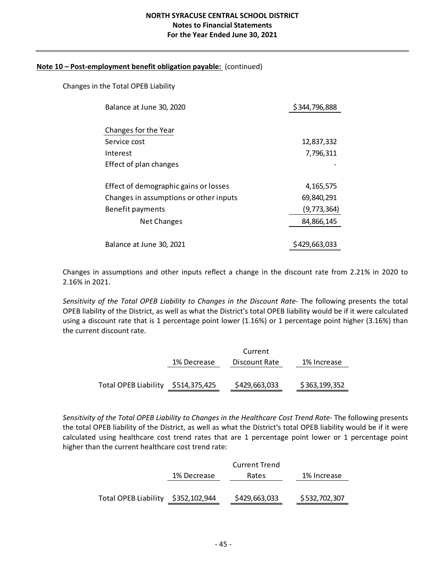#### **Note 10 – Post‐employment benefit obligation payable:** (continued)

Changes in the Total OPEB Liability

| Balance at June 30, 2020               | \$344,796,888 |
|----------------------------------------|---------------|
|                                        |               |
| Changes for the Year                   |               |
| Service cost                           | 12,837,332    |
| Interest                               | 7,796,311     |
| Effect of plan changes                 |               |
|                                        |               |
| Effect of demographic gains or losses  | 4,165,575     |
| Changes in assumptions or other inputs | 69,840,291    |
| Benefit payments                       | (9, 773, 364) |
| <b>Net Changes</b>                     | 84,866,145    |
|                                        |               |
| Balance at June 30, 2021               | \$429.663.033 |

Changes in assumptions and other inputs reflect a change in the discount rate from 2.21% in 2020 to 2.16% in 2021.

*Sensitivity of the Total OPEB Liability to Changes in the Discount Rate*‐ The following presents the total OPEB liability of the District, as well as what the District's total OPEB liability would be if it were calculated using a discount rate that is 1 percentage point lower (1.16%) or 1 percentage point higher (3.16%) than the current discount rate.

|                      |               | Current       |               |
|----------------------|---------------|---------------|---------------|
|                      | 1% Decrease   | Discount Rate | 1% Increase   |
|                      |               |               |               |
| Total OPEB Liability | \$514,375,425 | \$429,663,033 | \$363,199,352 |

*Sensitivity of the Total OPEB Liability to Changes in the Healthcare Cost Trend Rate*‐ The following presents the total OPEB liability of the District, as well as what the District's total OPEB liability would be if it were calculated using healthcare cost trend rates that are 1 percentage point lower or 1 percentage point higher than the current healthcare cost trend rate:

|                      |               | <b>Current Trend</b> |               |
|----------------------|---------------|----------------------|---------------|
|                      | 1% Decrease   | Rates                | 1% Increase   |
|                      |               |                      |               |
| Total OPEB Liability | \$352,102,944 | \$429,663,033        | \$532,702,307 |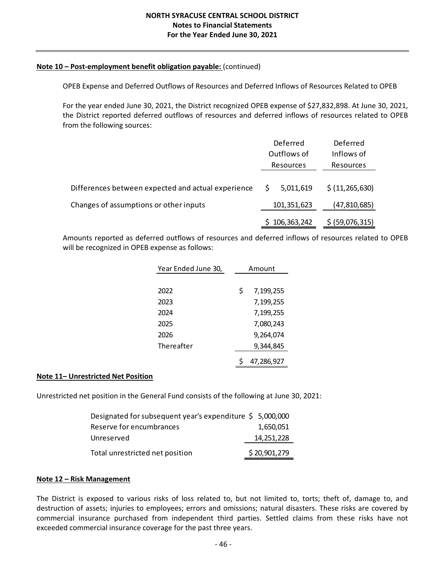#### **Note 10 – Post‐employment benefit obligation payable:** (continued)

OPEB Expense and Deferred Outflows of Resources and Deferred Inflows of Resources Related to OPEB

For the year ended June 30, 2021, the District recognized OPEB expense of \$27,832,898. At June 30, 2021, the District reported deferred outflows of resources and deferred inflows of resources related to OPEB from the following sources:

|                                                    |    | Deferred      | Deferred          |
|----------------------------------------------------|----|---------------|-------------------|
|                                                    |    | Outflows of   | Inflows of        |
|                                                    |    | Resources     | Resources         |
|                                                    |    |               |                   |
| Differences between expected and actual experience | S. | 5,011,619     | \$ (11, 265, 630) |
| Changes of assumptions or other inputs             |    | 101,351,623   | (47,810,685)      |
|                                                    |    | \$106,363,242 | \$ (59,076,315)   |

Amounts reported as deferred outflows of resources and deferred inflows of resources related to OPEB will be recognized in OPEB expense as follows:

| Year Ended June 30, |   | Amount     |
|---------------------|---|------------|
|                     |   |            |
| 2022                | Ś | 7,199,255  |
| 2023                |   | 7,199,255  |
| 2024                |   | 7,199,255  |
| 2025                |   | 7,080,243  |
| 2026                |   | 9,264,074  |
| <b>Thereafter</b>   |   | 9,344,845  |
|                     |   | 47,286,927 |

#### **Note 11– Unrestricted Net Position**

Unrestricted net position in the General Fund consists of the following at June 30, 2021:

| Designated for subsequent year's expenditure \$ 5,000,000 |              |
|-----------------------------------------------------------|--------------|
| Reserve for encumbrances                                  | 1.650.051    |
| Unreserved                                                | 14,251,228   |
| Total unrestricted net position                           | \$20,901,279 |

#### **Note 12 – Risk Management**

The District is exposed to various risks of loss related to, but not limited to, torts; theft of, damage to, and destruction of assets; injuries to employees; errors and omissions; natural disasters. These risks are covered by commercial insurance purchased from independent third parties. Settled claims from these risks have not exceeded commercial insurance coverage for the past three years.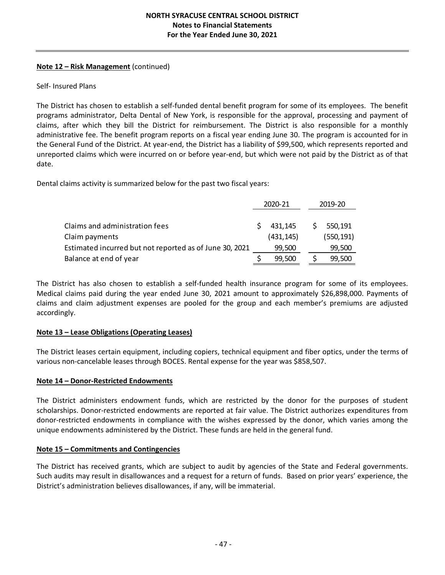#### **Note 12 – Risk Management** (continued)

#### Self‐ Insured Plans

The District has chosen to establish a self-funded dental benefit program for some of its employees. The benefit programs administrator, Delta Dental of New York, is responsible for the approval, processing and payment of claims, after which they bill the District for reimbursement. The District is also responsible for a monthly administrative fee. The benefit program reports on a fiscal year ending June 30. The program is accounted for in the General Fund of the District. At year-end, the District has a liability of \$99,500, which represents reported and unreported claims which were incurred on or before year-end, but which were not paid by the District as of that date.

Dental claims activity is summarized below for the past two fiscal years:

|                                                         | 2020-21    |   | 2019-20    |
|---------------------------------------------------------|------------|---|------------|
| Claims and administration fees                          | 431.145    | S | 550,191    |
| Claim payments                                          | (431, 145) |   | (550, 191) |
| Estimated incurred but not reported as of June 30, 2021 | 99,500     |   | 99,500     |
| Balance at end of year                                  | 99,500     |   | 99,500     |

The District has also chosen to establish a self-funded health insurance program for some of its employees. Medical claims paid during the year ended June 30, 2021 amount to approximately \$26,898,000. Payments of claims and claim adjustment expenses are pooled for the group and each member's premiums are adjusted accordingly.

### **Note 13 – Lease Obligations (Operating Leases)**

The District leases certain equipment, including copiers, technical equipment and fiber optics, under the terms of various non‐cancelable leases through BOCES. Rental expense for the year was \$858,507.

### **Note 14 – Donor‐Restricted Endowments**

The District administers endowment funds, which are restricted by the donor for the purposes of student scholarships. Donor‐restricted endowments are reported at fair value. The District authorizes expenditures from donor-restricted endowments in compliance with the wishes expressed by the donor, which varies among the unique endowments administered by the District. These funds are held in the general fund.

### **Note 15 – Commitments and Contingencies**

The District has received grants, which are subject to audit by agencies of the State and Federal governments. Such audits may result in disallowances and a request for a return of funds. Based on prior years' experience, the District's administration believes disallowances, if any, will be immaterial.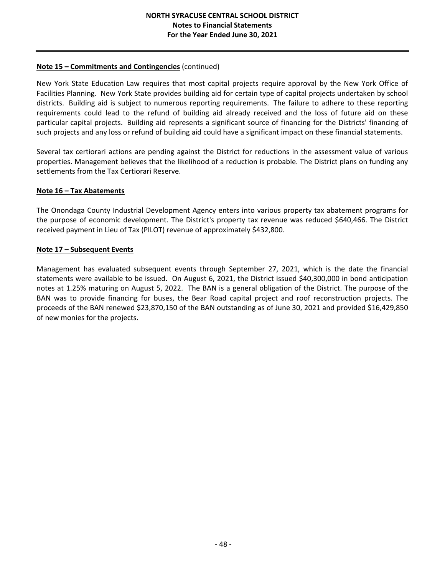#### **Note 15 – Commitments and Contingencies** (continued)

New York State Education Law requires that most capital projects require approval by the New York Office of Facilities Planning. New York State provides building aid for certain type of capital projects undertaken by school districts. Building aid is subject to numerous reporting requirements. The failure to adhere to these reporting requirements could lead to the refund of building aid already received and the loss of future aid on these particular capital projects. Building aid represents a significant source of financing for the Districts' financing of such projects and any loss or refund of building aid could have a significant impact on these financial statements.

Several tax certiorari actions are pending against the District for reductions in the assessment value of various properties. Management believes that the likelihood of a reduction is probable. The District plans on funding any settlements from the Tax Certiorari Reserve.

#### **Note 16 – Tax Abatements**

The Onondaga County Industrial Development Agency enters into various property tax abatement programs for the purpose of economic development. The District's property tax revenue was reduced \$640,466. The District received payment in Lieu of Tax (PILOT) revenue of approximately \$432,800.

#### **Note 17 – Subsequent Events**

Management has evaluated subsequent events through September 27, 2021, which is the date the financial statements were available to be issued. On August 6, 2021, the District issued \$40,300,000 in bond anticipation notes at 1.25% maturing on August 5, 2022. The BAN is a general obligation of the District. The purpose of the BAN was to provide financing for buses, the Bear Road capital project and roof reconstruction projects. The proceeds of the BAN renewed \$23,870,150 of the BAN outstanding as of June 30, 2021 and provided \$16,429,850 of new monies for the projects.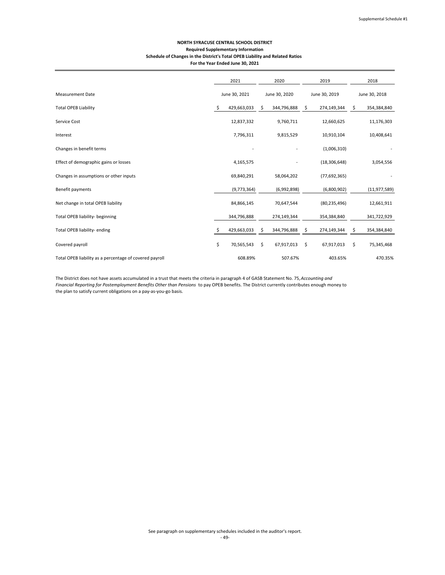#### **NORTH SYRACUSE CENTRAL SCHOOL DISTRICT For the Year Ended June 30, 2021 Schedule of Changes in the District's Total OPEB Liability and Related Ratios Required Supplementary Information**

|                                                         | 2021 |               | 2020 |               | 2019 |                |     | 2018           |
|---------------------------------------------------------|------|---------------|------|---------------|------|----------------|-----|----------------|
| <b>Measurement Date</b>                                 |      | June 30, 2021 |      | June 30, 2020 |      | June 30, 2019  |     | June 30, 2018  |
| <b>Total OPEB Liability</b>                             | S    | 429,663,033   | \$   | 344,796,888   | \$   | 274,149,344    | \$  | 354,384,840    |
| Service Cost                                            |      | 12,837,332    |      | 9,760,711     |      | 12,660,625     |     | 11,176,303     |
| Interest                                                |      | 7,796,311     |      | 9,815,529     |      | 10,910,104     |     | 10,408,641     |
| Changes in benefit terms                                |      |               |      |               |      | (1,006,310)    |     |                |
| Effect of demographic gains or losses                   |      | 4,165,575     |      |               |      | (18, 306, 648) |     | 3,054,556      |
| Changes in assumptions or other inputs                  |      | 69,840,291    |      | 58,064,202    |      | (77,692,365)   |     |                |
| Benefit payments                                        |      | (9,773,364)   |      | (6,992,898)   |      | (6,800,902)    |     | (11, 977, 589) |
| Net change in total OPEB liability                      |      | 84,866,145    |      | 70,647,544    |      | (80, 235, 496) |     | 12,661,911     |
| Total OPEB liability- beginning                         |      | 344,796,888   |      | 274,149,344   |      | 354,384,840    |     | 341,722,929    |
| Total OPEB liability- ending                            | -S   | 429,663,033   | \$   | 344,796,888   | S    | 274,149,344    | -\$ | 354,384,840    |
| Covered payroll                                         | \$   | 70,565,543    | \$   | 67,917,013    | \$   | 67,917,013     | \$  | 75,345,468     |
| Total OPEB liability as a percentage of covered payroll |      | 608.89%       |      | 507.67%       |      | 403.65%        |     | 470.35%        |

The District does not have assets accumulated in a trust that meets the criteria in paragraph 4 of GASB Statement No. 75,*Accounting and Financial Reporting for Postemployment Benefits Other than Pensions* to pay OPEB benefits. The District currently contributes enough money to the plan to satisfy current obligations on a pay‐as‐you‐go basis.

> See paragraph on supplementary schedules included in the auditor's report. ‐ 49‐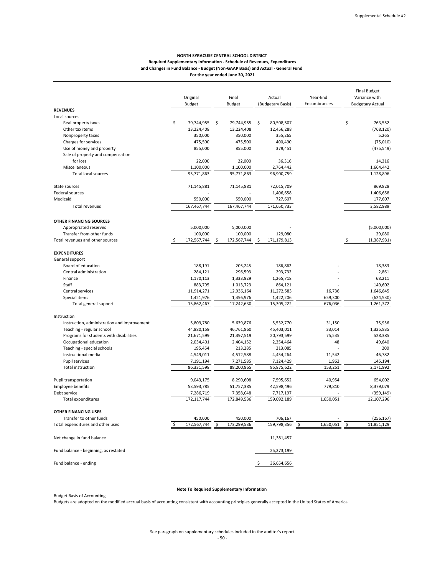#### **NORTH SYRACUSE CENTRAL SCHOOL DISTRICT Required Supplementary Information ‐ Schedule of Revenues, Expenditures and Changes in Fund Balance ‐ Budget (Non‐GAAP Basis) and Actual ‐ General Fund For the year ended June 30, 2021**

|                                             |    | Original<br><b>Budget</b> | Final<br><b>Budget</b> | Actual<br>(Budgetary Basis) | Year-End<br>Encumbrances |     | <b>Final Budget</b><br>Variance with<br><b>Budgetary Actual</b> |
|---------------------------------------------|----|---------------------------|------------------------|-----------------------------|--------------------------|-----|-----------------------------------------------------------------|
| <b>REVENUES</b>                             |    |                           |                        |                             |                          |     |                                                                 |
| Local sources                               |    |                           |                        |                             |                          |     |                                                                 |
| Real property taxes                         | \$ | 79,744,955                | \$<br>79,744,955       | \$<br>80,508,507            |                          | \$  | 763,552                                                         |
| Other tax items                             |    | 13,224,408                | 13,224,408             | 12,456,288                  |                          |     | (768, 120)                                                      |
| Nonproperty taxes                           |    | 350,000                   | 350,000                | 355,265                     |                          |     | 5,265                                                           |
| Charges for services                        |    | 475,500                   | 475,500                | 400,490                     |                          |     | (75,010)                                                        |
| Use of money and property                   |    | 855,000                   | 855,000                | 379,451                     |                          |     | (475, 549)                                                      |
| Sale of property and compensation           |    |                           |                        |                             |                          |     |                                                                 |
| for loss                                    |    | 22,000                    | 22,000                 | 36,316                      |                          |     | 14,316                                                          |
| Miscellaneous                               |    | 1,100,000                 | 1,100,000              | 2,764,442                   |                          |     | 1,664,442                                                       |
| <b>Total local sources</b>                  |    | 95,771,863                | 95,771,863             | 96,900,759                  |                          |     | 1,128,896                                                       |
| State sources                               |    | 71,145,881                | 71,145,881             | 72,015,709                  |                          |     | 869,828                                                         |
| Federal sources                             |    |                           |                        | 1,406,658                   |                          |     | 1,406,658                                                       |
| Medicaid                                    |    | 550,000                   | 550,000                | 727,607                     |                          |     | 177,607                                                         |
| Total revenues                              |    | 167,467,744               | 167,467,744            | 171,050,733                 |                          |     | 3,582,989                                                       |
| OTHER FINANCING SOURCES                     |    |                           |                        |                             |                          |     |                                                                 |
| Appropriated reserves                       |    | 5,000,000                 | 5,000,000              |                             |                          |     | (5,000,000)                                                     |
| Transfer from other funds                   |    | 100,000                   | 100,000                | 129,080                     |                          |     | 29,080                                                          |
| Total revenues and other sources            | Ś. | 172,567,744               | \$<br>172,567,744      | \$<br>171,179,813           |                          | \$  | (1, 387, 931)                                                   |
|                                             |    |                           |                        |                             |                          |     |                                                                 |
| <b>EXPENDITURES</b>                         |    |                           |                        |                             |                          |     |                                                                 |
| General support                             |    |                           |                        |                             |                          |     |                                                                 |
| Board of education                          |    | 188,191                   | 205,245                | 186,862                     |                          |     | 18,383                                                          |
| Central administration                      |    | 284,121                   | 296,593                | 293,732                     |                          |     | 2,861                                                           |
| Finance                                     |    | 1,170,113                 | 1,333,929              | 1,265,718                   |                          |     | 68,211                                                          |
| Staff                                       |    | 883,795                   | 1,013,723              | 864,121                     |                          |     | 149,602                                                         |
| Central services                            |    | 11,914,271                | 12,936,164             | 11,272,583                  | 16,736                   |     | 1,646,845                                                       |
| Special items                               |    | 1,421,976                 | 1,456,976              | 1,422,206                   | 659,300                  |     | (624, 530)                                                      |
| Total general support                       |    | 15,862,467                | 17,242,630             | 15,305,222                  | 676,036                  |     | 1,261,372                                                       |
| Instruction                                 |    |                           |                        |                             |                          |     |                                                                 |
| Instruction, administration and improvement |    | 5,809,780                 | 5,639,876              | 5,532,770                   | 31,150                   |     | 75,956                                                          |
| Teaching - regular school                   |    | 44,880,159                | 46,761,860             | 45,403,011                  | 33,014                   |     | 1,325,835                                                       |
| Programs for students with disabilities     |    | 21,671,599                | 21,397,519             | 20,793,599                  | 75,535                   |     | 528,385                                                         |
| Occupational education                      |    | 2,034,401                 | 2,404,152              | 2,354,464                   | 48                       |     | 49,640                                                          |
| Teaching - special schools                  |    | 195,454                   | 213,285                | 213,085                     |                          |     | 200                                                             |
| Instructional media                         |    | 4,549,011                 | 4,512,588              | 4,454,264                   | 11,542                   |     | 46,782                                                          |
| Pupil services                              |    | 7,191,194                 | 7,271,585              | 7,124,429                   | 1,962                    |     | 145,194                                                         |
| <b>Total instruction</b>                    |    | 86,331,598                | 88,200,865             | 85,875,622                  | 153,251                  |     | 2,171,992                                                       |
| Pupil transportation                        |    | 9,043,175                 | 8,290,608              | 7,595,652                   | 40,954                   |     | 654,002                                                         |
| <b>Employee benefits</b>                    |    | 53,593,785                | 51,757,385             | 42,598,496                  | 779,810                  |     | 8,379,079                                                       |
| Debt service                                |    | 7,286,719                 | 7,358,048              | 7,717,197                   |                          |     | (359, 149)                                                      |
| <b>Total expenditures</b>                   |    | 172,117,744               | 172,849,536            | 159,092,189                 | 1,650,051                |     | 12,107,296                                                      |
| <b>OTHER FINANCING USES</b>                 |    |                           |                        |                             |                          |     |                                                                 |
| Transfer to other funds                     |    | 450,000                   | 450,000                | 706,167                     |                          |     | (256, 167)                                                      |
| Total expenditures and other uses           |    | 172,567,744               | \$<br>173,299,536      | 159,798,356                 | \$<br>1,650,051          | \$. | 11,851,129                                                      |
| Net change in fund balance                  |    |                           |                        | 11,381,457                  |                          |     |                                                                 |
| Fund balance - beginning, as restated       |    |                           |                        | 25,273,199                  |                          |     |                                                                 |
| Fund balance - ending                       |    |                           |                        | \$<br>36,654,656            |                          |     |                                                                 |

#### **Note To Required Supplementary Information**

Budget Basis of Accounting

Budgets are adopted on the modified accrual basis of accounting consistent with accounting principles generally accepted in the United States of America.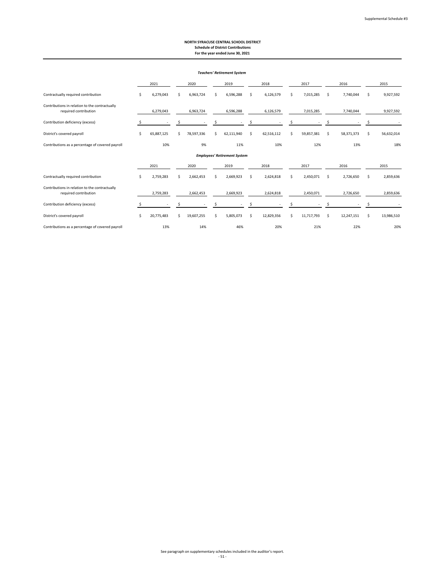#### **NORTH SYRACUSE CENTRAL SCHOOL DISTRICT Schedule of District Contributions For the year ended June 30, 2021**

|                                                                         |    |            |      |            |      | <b>Teachers' Retirement System</b>  |      |            |      |                          |    |            |    |            |
|-------------------------------------------------------------------------|----|------------|------|------------|------|-------------------------------------|------|------------|------|--------------------------|----|------------|----|------------|
|                                                                         |    | 2021       | 2020 |            | 2019 |                                     | 2018 |            | 2017 |                          |    | 2016       |    | 2015       |
| Contractually required contribution                                     | \$ | 6,279,043  | Ś    | 6,963,724  |      | 6,596,288                           | Ś    | 6,126,579  | Ŝ    | 7,015,285                | \$ | 7,740,044  | Ŝ. | 9,927,592  |
| Contributions in relation to the contractually<br>required contribution |    | 6,279,043  |      | 6,963,724  |      | 6,596,288                           |      | 6,126,579  |      | 7,015,285                |    | 7,740,044  |    | 9,927,592  |
| Contribution deficiency (excess)                                        |    |            |      |            |      | $\overline{a}$                      |      |            |      | $\overline{\phantom{a}}$ |    |            |    |            |
| District's covered payroll                                              | Ś  | 65,887,125 | Ś    | 78,597,336 | ς    | 62,111,940                          | Ś    | 62,516,112 | \$   | 59,857,381               | \$ | 58,371,373 | .s | 56,632,014 |
| Contributions as a percentage of covered payroll                        |    | 10%        |      | 9%         |      | 11%                                 |      | 10%        |      | 12%                      |    | 13%        |    | 18%        |
|                                                                         |    |            |      |            |      | <b>Employees' Retirement System</b> |      |            |      |                          |    |            |    |            |
|                                                                         |    | 2021       |      | 2020       |      | 2019                                |      | 2018       |      | 2017                     |    | 2016       |    | 2015       |
| Contractually required contribution                                     | S  | 2,759,283  | \$   | 2,662,453  | Ś    | 2,669,923                           | S    | 2,624,818  | Ŝ    | 2,450,071                | Ŝ  | 2,726,650  | .s | 2,859,636  |
| Contributions in relation to the contractually<br>required contribution |    | 2,759,283  |      | 2,662,453  |      | 2,669,923                           |      | 2,624,818  |      | 2,450,071                |    | 2,726,650  |    | 2,859,636  |
| Contribution deficiency (excess)                                        |    |            |      |            |      |                                     |      |            |      |                          |    |            |    |            |
| District's covered payroll                                              | Ś  | 20,775,483 | Ś    | 19,607,255 | Ś    | 5,805,073                           | Ś    | 12,829,356 | \$.  | 11,717,793               | \$ | 12,247,151 | Ŝ. | 13,986,510 |
| Contributions as a percentage of covered payroll                        |    | 13%        |      | 14%        |      | 46%                                 |      | 20%        |      | 21%                      |    | 22%        |    | 20%        |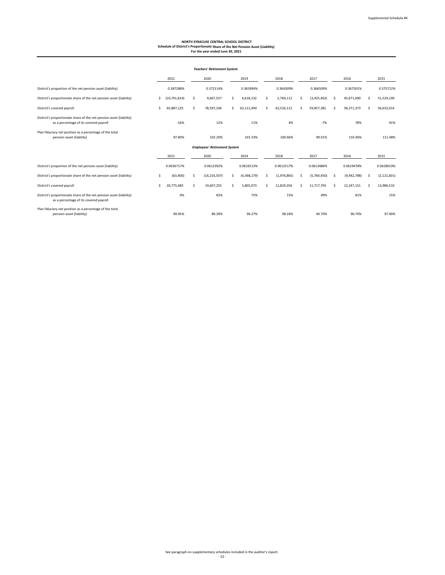# NORTH SYRACUSE CENTRAL SCHOOL DISTRICT<br>Schedule of District's Proportionate Share of the Net Pension Asset (Liability)<br>For the year ended June 30, 2021

| <b>Teachers' Retirement System</b>                                                                            |        |                |         |                                     |         |             |         |             |        |             |         |             |         |               |
|---------------------------------------------------------------------------------------------------------------|--------|----------------|---------|-------------------------------------|---------|-------------|---------|-------------|--------|-------------|---------|-------------|---------|---------------|
|                                                                                                               |        | 2021           |         | 2020                                |         | 2019        |         | 2018        |        | 2017        |         | 2016        |         | 2015          |
| District's proportion of the net pension asset (liability)                                                    |        | 0.387288%      |         | 0.372114%                           |         | 0.365994%   |         | 0.364309%   |        | 0.366509%   |         | 0.367501%   |         | 0.375712%     |
| District's proportionate share of the net pension asset (liability)                                           | Ŝ      | (10, 701, 814) | Ŝ.      | 9,667,557                           | Ś.      | 6,618,132   | Ŝ.      | 2.769.112   | Ś      | (3,925,462) | Ŝ       | 45.671.000  | Ś       | 51,529,199    |
| District's covered payroll                                                                                    | Ŝ      | 65,887,125     | Ŝ       | 78,597,336                          | Š.      | 62,111,940  | \$      | 62,516,112  |        | 59,857,381  | Ŝ.      | 58,371,373  | \$      | 56,632,014    |
| District's proportionate share of the net pension asset (liability)<br>as a percentage of its covered payroll |        | $-16%$         |         | 12%                                 |         | 11%         |         | 4%          |        | $-7%$       |         | 78%         |         | 91%           |
| Plan fiduciary net position as a percentage of the total<br>pension asset (liability)                         | 97.80% |                | 102.20% |                                     | 101.53% |             | 100.66% |             | 99.01% |             | 110.46% |             | 111.48% |               |
|                                                                                                               |        |                |         | <b>Employees' Retirement System</b> |         |             |         |             |        |             |         |             |         |               |
|                                                                                                               |        | 2021           |         | 2020                                |         | 2019        |         | 2018        |        | 2017        |         | 2016        |         | 2015          |
| District's proportion of the net pension asset (liability)                                                    |        | 0.0636717%     |         | 0.0612392%                          |         | 0.0616513%  |         | 0.0612517%  |        | 0.0613486%  |         | 0.0619478%  |         | 0.0628019%    |
| District's proportionate share of the net pension asset (liability)                                           | Ŝ      | (63, 400)      | Ŝ       | (16, 216, 507)                      | Š.      | (4,368,179) | Ŝ.      | (1,976,865) | Ŝ      | (5,764,450) | -S      | (9,942,788) | Ŝ       | (2, 121, 601) |
| District's covered payroll                                                                                    | Š.     | 20,775,483     | Š.      | 19.607.255                          | Ś       | 5.805.073   | Ś       | 12.829.356  | ς.     | 11,717,793  | Ŝ.      | 12.247.151  | Ś       | 13,986,510    |
| District's proportionate share of the net pension asset (liability)<br>as a percentage of its covered payroll |        | 0%             |         | 83%                                 |         | 75%         |         | 15%         |        | 49%         |         | 81%         |         | 15%           |
| Plan fiduciary net position as a percentage of the total<br>pension asset (liability)                         |        | 99.95%         |         | 86.39%                              |         | 96.27%      |         | 98.24%      |        | 94.70%      |         | 90.70%      |         | 97.90%        |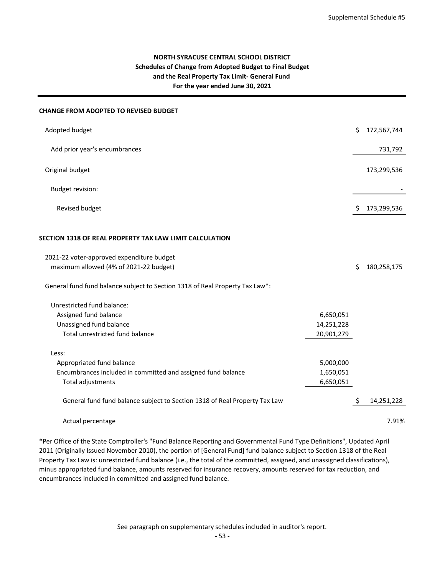#### **NORTH SYRACUSE CENTRAL SCHOOL DISTRICT Schedules of Change from Adopted Budget to Final Budget and the Real Property Tax Limit‐ General Fund For the year ended June 30, 2021**

#### **CHANGE FROM ADOPTED TO REVISED BUDGET**

| Adopted budget                                                               |            | Ś. | 172,567,744 |
|------------------------------------------------------------------------------|------------|----|-------------|
| Add prior year's encumbrances                                                |            |    | 731,792     |
| Original budget                                                              |            |    | 173,299,536 |
| <b>Budget revision:</b>                                                      |            |    |             |
| Revised budget                                                               |            | S  | 173,299,536 |
|                                                                              |            |    |             |
| SECTION 1318 OF REAL PROPERTY TAX LAW LIMIT CALCULATION                      |            |    |             |
| 2021-22 voter-approved expenditure budget                                    |            |    |             |
| maximum allowed (4% of 2021-22 budget)                                       |            | \$ | 180,258,175 |
| General fund fund balance subject to Section 1318 of Real Property Tax Law*: |            |    |             |
| Unrestricted fund balance:                                                   |            |    |             |
| Assigned fund balance                                                        | 6,650,051  |    |             |
| Unassigned fund balance                                                      | 14,251,228 |    |             |
| Total unrestricted fund balance                                              | 20,901,279 |    |             |
| Less:                                                                        |            |    |             |
| Appropriated fund balance                                                    | 5,000,000  |    |             |
| Encumbrances included in committed and assigned fund balance                 | 1,650,051  |    |             |
| Total adjustments                                                            | 6,650,051  |    |             |
| General fund fund balance subject to Section 1318 of Real Property Tax Law   |            | \$ | 14,251,228  |
| Actual percentage                                                            |            |    | 7.91%       |

\*Per Office of the State Comptroller's "Fund Balance Reporting and Governmental Fund Type Definitions", Updated April 2011 (Originally Issued November 2010), the portion of [General Fund] fund balance subject to Section 1318 of the Real Property Tax Law is: unrestricted fund balance (i.e., the total of the committed, assigned, and unassigned classifications), minus appropriated fund balance, amounts reserved for insurance recovery, amounts reserved for tax reduction, and encumbrances included in committed and assigned fund balance.

See paragraph on supplementary schedules included in auditor's report.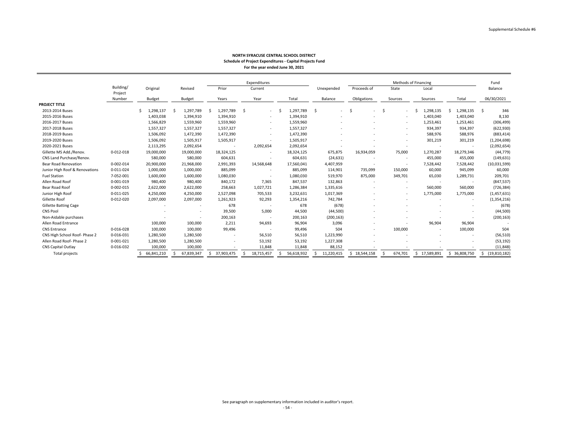#### **NORTH SYRACUSE CENTRAL SCHOOL DISTRICT Schedule of Project Expenditures ‐ Capital Projects Fund For the year ended June 30, 2021**

|                                |                      |               |               |                  | Expenditures  |            |            | <b>Methods of Financing</b> |                          |                          |                          |                |  |  |  |
|--------------------------------|----------------------|---------------|---------------|------------------|---------------|------------|------------|-----------------------------|--------------------------|--------------------------|--------------------------|----------------|--|--|--|
|                                | Building/<br>Project | Original      | Revised       | Prior            | Current       |            | Unexpended | Proceeds of                 | State                    | Local                    |                          | Balance        |  |  |  |
|                                | Number               | <b>Budget</b> | <b>Budget</b> | Years            | Year          | Total      | Balance    | Obligations                 | Sources                  | Sources                  | Total                    | 06/30/2021     |  |  |  |
| <b>PROJECT TITLE</b>           |                      |               |               |                  |               |            |            |                             |                          |                          |                          |                |  |  |  |
| 2013-2014 Buses                |                      | 1,298,137     | 1,297,789     | 1,297,789<br>S   | \$.<br>$\sim$ | 1,297,789  | - Ś        | S.<br>$\sim$                | S<br>٠                   | 1,298,135                | 1,298,135                | 346<br>.S      |  |  |  |
| 2015-2016 Buses                |                      | 1,403,038     | 1,394,910     | 1,394,910        | $\sim$        | 1,394,910  |            |                             |                          | 1,403,040                | 1,403,040                | 8,130          |  |  |  |
| 2016-2017 Buses                |                      | 1,566,829     | 1,559,960     | 1,559,960        |               | 1,559,960  |            |                             | ٠                        | 1,253,461                | 1,253,461                | (306, 499)     |  |  |  |
| 2017-2018 Buses                |                      | 1,557,327     | 1,557,327     | 1,557,327        |               | 1,557,327  |            |                             |                          | 934,397                  | 934,397                  | (622, 930)     |  |  |  |
| 2018-2019 Buses                |                      | 1,506,092     | 1,472,390     | 1,472,390        |               | 1,472,390  |            |                             |                          | 588,976                  | 588,976                  | (883, 414)     |  |  |  |
| 2019-2020 Buses                |                      | 1,506,092     | 1,505,917     | 1,505,917        |               | 1,505,917  |            |                             |                          | 301,219                  | 301,219                  | (1, 204, 698)  |  |  |  |
| 2020-2021 Buses                |                      | 2,113,295     | 2,092,654     |                  | 2,092,654     | 2,092,654  |            |                             |                          | $\overline{\phantom{a}}$ | $\sim$                   | (2,092,654)    |  |  |  |
| Gillette MS Add./Renov.        | $0 - 012 - 018$      | 19,000,000    | 19,000,000    | 18,324,125       |               | 18,324,125 | 675,875    | 16,934,059                  | 75,000                   | 1,270,287                | 18,279,346               | (44, 779)      |  |  |  |
| CNS Land Purchase/Renov.       |                      | 580,000       | 580,000       | 604,631          | $\sim$        | 604,631    | (24, 631)  |                             |                          | 455,000                  | 455,000                  | (149, 631)     |  |  |  |
| <b>Bear Road Renovation</b>    | $0 - 002 - 014$      | 20,900,000    | 21,968,000    | 2,991,393        | 14,568,648    | 17,560,041 | 4,407,959  |                             | $\sim$                   | 7,528,442                | 7,528,442                | (10,031,599)   |  |  |  |
| Junior High Roof & Renovations | 0-011-024            | 1,000,000     | 1,000,000     | 885,099          | $\sim$        | 885,099    | 114,901    | 735,099                     | 150,000                  | 60,000                   | 945,099                  | 60,000         |  |  |  |
| <b>Fuel Station</b>            | 7-052-001            | 1,600,000     | 1,600,000     | 1,080,030        |               | 1,080,030  | 519,970    | 875,000                     | 349,701                  | 65,030                   | 1,289,731                | 209,701        |  |  |  |
| Allen Road Roof                | 0-001-019            | 980,400       | 980,400       | 840,172          | 7,365         | 847,537    | 132,863    |                             |                          | $\overline{\phantom{a}}$ |                          | (847, 537)     |  |  |  |
| Bear Road Roof                 | 0-002-015            | 2,622,000     | 2,622,000     | 258,663          | 1,027,721     | 1,286,384  | 1,335,616  |                             |                          | 560,000                  | 560,000                  | (726, 384)     |  |  |  |
| Junior High Roof               | 0-011-025            | 4,250,000     | 4,250,000     | 2,527,098        | 705,533       | 3,232,631  | 1,017,369  |                             | $\overline{\phantom{a}}$ | 1,775,000                | 1,775,000                | (1,457,631)    |  |  |  |
| Gillette Roof                  | 0-012-020            | 2,097,000     | 2,097,000     | 1,261,923        | 92,293        | 1,354,216  | 742,784    |                             |                          | $\overline{\phantom{a}}$ | $\overline{\phantom{a}}$ | (1,354,216)    |  |  |  |
| <b>Gillette Batting Cage</b>   |                      |               |               | 678              |               | 678        | (678)      |                             |                          |                          |                          | (678)          |  |  |  |
| <b>CNS Pool</b>                |                      |               | ٠             | 39,500           | 5,000         | 44,500     | (44, 500)  |                             |                          |                          | $\sim$                   | (44,500)       |  |  |  |
| Non-Aidable purchases          |                      |               | $\sim$        | 200,163          |               | 200,163    | (200, 163) |                             |                          |                          | $\overline{\phantom{a}}$ | (200, 163)     |  |  |  |
| Allen Road Entrance            |                      | 100,000       | 100,000       | 2,211            | 94,693        | 96,904     | 3,096      |                             |                          | 96,904                   | 96,904                   |                |  |  |  |
| <b>CNS Entrance</b>            | 0-016-028            | 100,000       | 100,000       | 99,496           |               | 99,496     | 504        |                             | 100,000                  |                          | 100,000                  | 504            |  |  |  |
| CNS High School Roof- Phase 2  | 0-016-031            | 1,280,500     | 1,280,500     |                  | 56,510        | 56,510     | 1,223,990  |                             |                          |                          |                          | (56, 510)      |  |  |  |
| Allen Road Roof- Phase 2       | 0-001-021            | 1,280,500     | 1,280,500     |                  | 53,192        | 53,192     | 1,227,308  |                             |                          |                          |                          | (53, 192)      |  |  |  |
| <b>CNS Capital Outlay</b>      | 0-016-032            | 100,000       | 100,000       |                  | 11,848        | 11,848     | 88,152     |                             |                          |                          |                          | (11, 848)      |  |  |  |
| Total projects                 |                      | 66,841,210    | 67,839,347    | 37,903,475<br>Ś. | 18,715,457    | 56,618,932 | 11,220,415 | \$18,544,158                | 674,701                  | \$17,589,891             | \$ 36,808,750            | (19, 810, 182) |  |  |  |